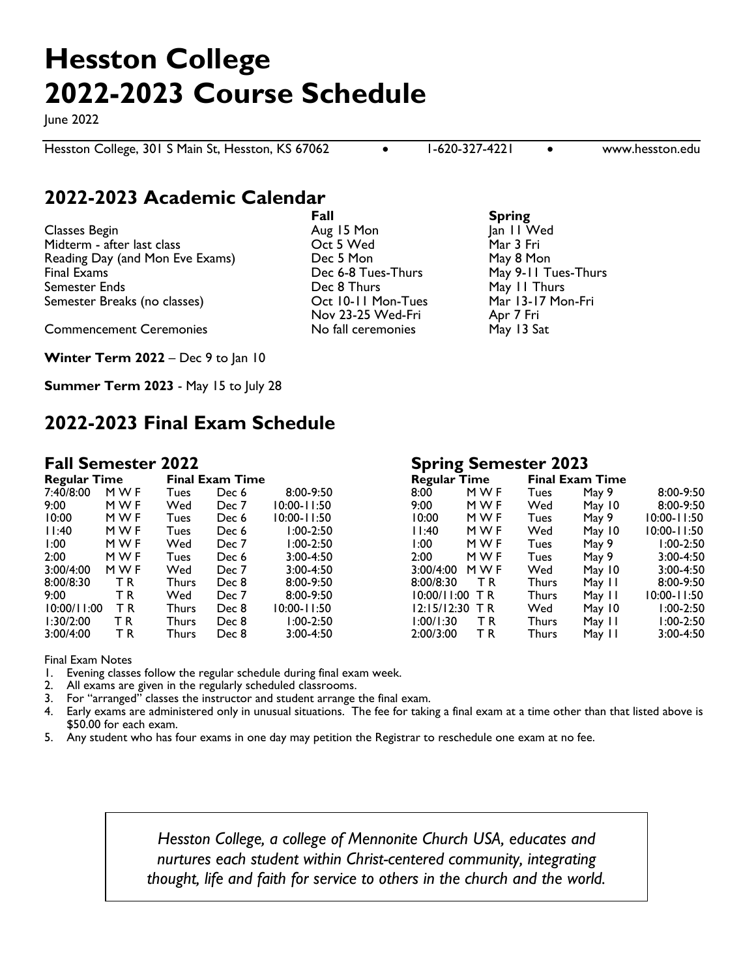# **Hesston College 2022-2023 Course Schedule**

June 2022

Hesston College, 301 S Main St, Hesston, KS 67062 **11-620-327-4221** • www.hesston.edu

## **2022-2023 Academic Calendar**

Classes Begin **Aug 15 Mon** June 11 Mon Midterm - after last class Oct 5 Wed Mar 3 Fri Reading Day (and Mon Eve Exams) Dec 5 Mon May 8 Mon Final Exams Thurs Communication Communications Communications Communications (May 9-11 Tues-Thurs Communicatio Semester Ends Dec 8 Thurs May 11 Thurs Semester Breaks (no classes) Cot 10-11 Mon-Tues

Commencement Ceremonies No fall ceremonies May 13 Sat

**Winter Term 2022** – Dec 9 to Jan 10

**Summer Term 2023** - May 15 to July 28

## **2022-2023 Final Exam Schedule**

| <b>Regular Time</b> |     |       | <b>Final Exam Time</b> |                 | <b>Regular Time</b> |     | <b>Final Exam Time</b> |        |
|---------------------|-----|-------|------------------------|-----------------|---------------------|-----|------------------------|--------|
| 7:40/8:00           | MWF | Tues  | Dec 6                  | 8:00-9:50       | 8:00                | MWF | Tues                   | May 9  |
| 9:00                | MWF | Wed   | Dec 7                  | $10:00 - 11:50$ | 9:00                | MWF | Wed                    | May 10 |
| 10:00               | MWF | Tues  | Dec 6                  | 10:00-11:50     | 10:00               | MWF | Tues                   | May 9  |
| 11:40               | MWF | Tues  | Dec 6                  | $1:00-2:50$     | 11:40               | MWF | Wed                    | May 10 |
| 1:00                | MWF | Wed   | Dec 7                  | l:00-2:50       | l:00                | MWF | Tues                   | May 9  |
| 2:00                | MWF | Tues  | Dec 6                  | $3:00 - 4:50$   | 2:00                | MWF | Tues                   | May 9  |
| 3:00/4:00           | MWF | Wed   | Dec 7                  | $3:00 - 4:50$   | 3:00/4:00           | MWF | Wed                    | May 10 |
| 8:00/8:30           | T R | Thurs | Dec 8                  | $8:00 - 9:50$   | 8:00/8:30           | ΤR  | Thurs                  | May 11 |
| 9:00                | ТR  | Wed   | Dec 7                  | $8:00 - 9:50$   | 10:00/11:00         | T R | Thurs                  | May 11 |
| 10:00/11:00         | ΤR  | Thurs | Dec 8                  | 10:00-11:50     | 12:15/12:30         | T R | Wed                    | May 10 |
| 1:30/2:00           | T R | Thurs | Dec 8                  | $1:00-2:50$     | 1:00/1:30           | T R | Thurs                  | May 11 |
| 3:00/4:00           | ΤR  | Thurs | Dec 8                  | $3:00 - 4:50$   | 2:00/3:00           | ΤR  | Thurs                  | May 11 |

### **Fall Semester 2022 Spring Semester 2023**

| <b>Regular Time</b><br>7:40/8:00 |       |       |               |                        |     |                                                                                                                 | <b>Final Exam Time</b> |                 |  |  |  |
|----------------------------------|-------|-------|---------------|------------------------|-----|-----------------------------------------------------------------------------------------------------------------|------------------------|-----------------|--|--|--|
| M W F                            | Tues  | Dec 6 | $8:00-9:50$   | 8:00                   | MWF | Tues                                                                                                            | May 9                  | 8:00-9:50       |  |  |  |
| MWF                              | Wed   | Dec 7 | 10:00-11:50   | 9:00                   | MWF | Wed                                                                                                             | May 10                 | $8:00 - 9:50$   |  |  |  |
| MWF                              | Tues  | Dec 6 | 10:00-11:50   | 10:00                  | MWF | Tues                                                                                                            | May 9                  | $10:00 - 11:50$ |  |  |  |
| MWF                              | Tues  | Dec 6 | $1:00-2:50$   | 11:40                  | MWF | Wed                                                                                                             | May $10$               | $10:00 - 11:50$ |  |  |  |
| MWF                              | Wed   | Dec 7 | $1:00-2:50$   | 1:00                   | MWF | Tues                                                                                                            | May 9                  | $1:00-2:50$     |  |  |  |
| M W F                            | Tues  | Dec 6 | $3:00 - 4:50$ | 2:00                   | MWF | Tues                                                                                                            | May 9                  | $3:00 - 4:50$   |  |  |  |
| MWF                              | Wed   | Dec 7 | $3:00 - 4:50$ |                        | MWF | Wed                                                                                                             | May $10$               | $3:00 - 4:50$   |  |  |  |
| T R                              | Thurs | Dec 8 | $8:00 - 9:50$ |                        | T R | Thurs                                                                                                           | May 11                 | $8:00 - 9:50$   |  |  |  |
| ΤR                               | Wed   | Dec 7 | $8:00 - 9:50$ |                        |     | Thurs                                                                                                           | May 11                 | $10:00 - 11:50$ |  |  |  |
| ТR                               | Thurs | Dec 8 | 10:00-11:50   |                        |     | Wed                                                                                                             | May $10$               | $1:00-2:50$     |  |  |  |
| ТR                               | Thurs | Dec 8 | $1:00-2:50$   |                        | ΤR  | Thurs                                                                                                           | May 11                 | $1:00-2:50$     |  |  |  |
| ТR                               | Thurs | Dec 8 | $3:00 - 4:50$ |                        | ΤR  | Thurs                                                                                                           | May 11                 | $3:00 - 4:50$   |  |  |  |
|                                  |       |       |               | <b>Final Exam Time</b> |     | <b>Regular Time</b><br>3:00/4:00<br>8:00/8:30<br>$10:00/11:00$ TR<br>$12:15/12:30$ TR<br>1:00/1:30<br>2:00/3:00 |                        |                 |  |  |  |

Final Exam Notes

- 1. Evening classes follow the regular schedule during final exam week.
- 2. All exams are given in the regularly scheduled classrooms.
- 3. For "arranged" classes the instructor and student arrange the final exam.
- 4. Early exams are administered only in unusual situations. The fee for taking a final exam at a time other than that listed above is \$50.00 for each exam.
- 5. Any student who has four exams in one day may petition the Registrar to reschedule one exam at no fee.

*Hesston College, a college of Mennonite Church USA, educates and nurtures each student within Christ-centered community, integrating thought, life and faith for service to others in the church and the world.*

**Fall Spring**

Nov 23-25 Wed-Fri Apr 7 Fri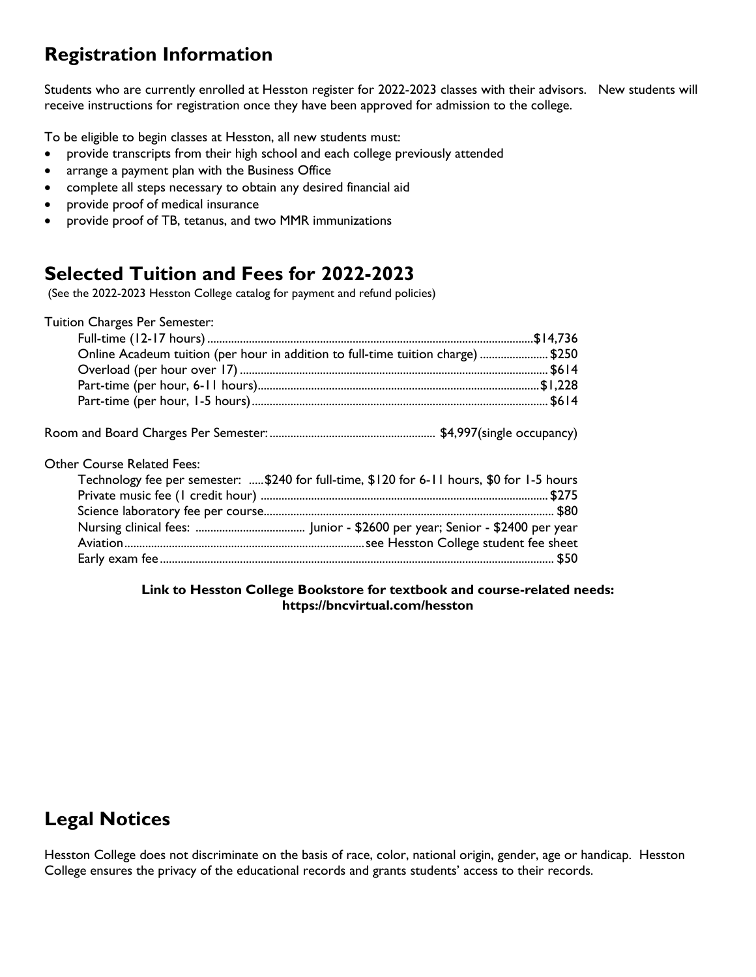## **Registration Information**

Students who are currently enrolled at Hesston register for 2022-2023 classes with their advisors. New students will receive instructions for registration once they have been approved for admission to the college.

To be eligible to begin classes at Hesston, all new students must:

- provide transcripts from their high school and each college previously attended
- arrange a payment plan with the Business Office
- complete all steps necessary to obtain any desired financial aid
- provide proof of medical insurance
- provide proof of TB, tetanus, and two MMR immunizations

## **Selected Tuition and Fees for 2022-2023**

(See the 2022-2023 Hesston College catalog for payment and refund policies)

| Tuition Charges Per Semester:                                                             |  |
|-------------------------------------------------------------------------------------------|--|
|                                                                                           |  |
| Online Acadeum tuition (per hour in addition to full-time tuition charge) \$250           |  |
|                                                                                           |  |
|                                                                                           |  |
|                                                                                           |  |
|                                                                                           |  |
| <b>Other Course Related Fees:</b>                                                         |  |
| Technology fee per semester: \$240 for full-time, \$120 for 6-11 hours, \$0 for 1-5 hours |  |
|                                                                                           |  |
|                                                                                           |  |
|                                                                                           |  |
|                                                                                           |  |
|                                                                                           |  |

### **Link to Hesston College Bookstore for textbook and course-related needs: https://bncvirtual.com/hesston**

## **Legal Notices**

Hesston College does not discriminate on the basis of race, color, national origin, gender, age or handicap. Hesston College ensures the privacy of the educational records and grants students' access to their records.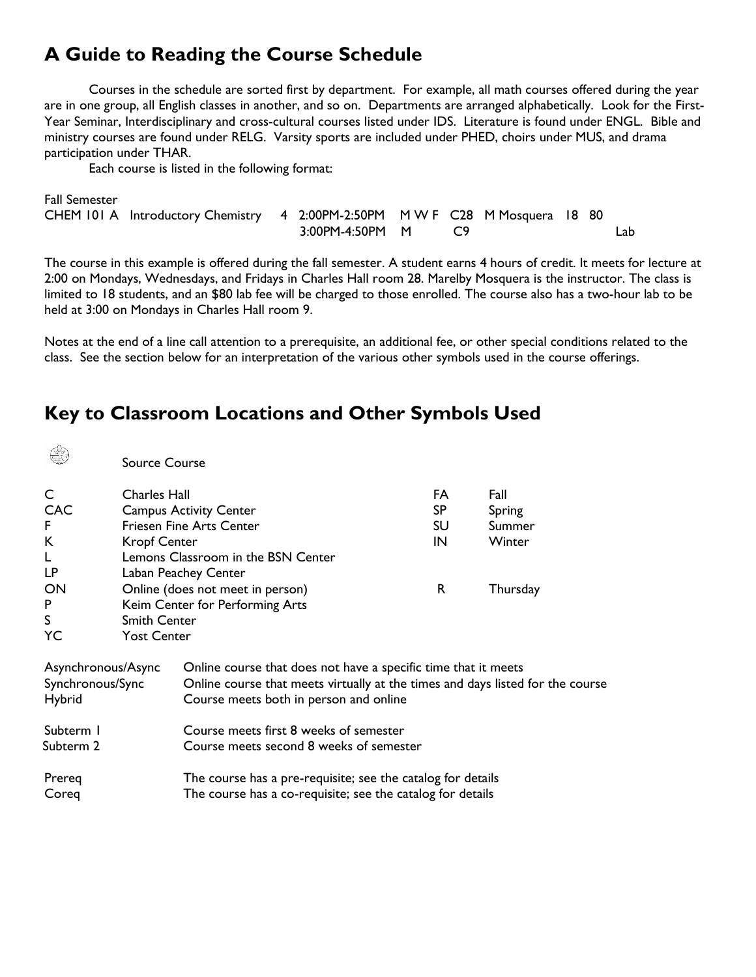## **A Guide to Reading the Course Schedule**

Courses in the schedule are sorted first by department. For example, all math courses offered during the year are in one group, all English classes in another, and so on. Departments are arranged alphabetically. Look for the First-Year Seminar, Interdisciplinary and cross-cultural courses listed under IDS. Literature is found under ENGL. Bible and ministry courses are found under RELG. Varsity sports are included under PHED, choirs under MUS, and drama participation under THAR.

Each course is listed in the following format:

 $\mathbb{Q}$ 

| <b>Fall Semester</b> |                                                                            |                 |  |  |     |
|----------------------|----------------------------------------------------------------------------|-----------------|--|--|-----|
|                      | CHEM 101 A Introductory Chemistry 4 2:00PM-2:50PM MWF C28 M Mosquera 18 80 |                 |  |  |     |
|                      |                                                                            | 3:00PM-4:50PM M |  |  | Lab |

The course in this example is offered during the fall semester. A student earns 4 hours of credit. It meets for lecture at 2:00 on Mondays, Wednesdays, and Fridays in Charles Hall room 28. Marelby Mosquera is the instructor. The class is limited to 18 students, and an \$80 lab fee will be charged to those enrolled. The course also has a two-hour lab to be held at 3:00 on Mondays in Charles Hall room 9.

Notes at the end of a line call attention to a prerequisite, an additional fee, or other special conditions related to the class. See the section below for an interpretation of the various other symbols used in the course offerings.

## **Key to Classroom Locations and Other Symbols Used**

| Æ                                                | <b>Source Course</b> |                                                                                                                                                                                            |     |          |  |
|--------------------------------------------------|----------------------|--------------------------------------------------------------------------------------------------------------------------------------------------------------------------------------------|-----|----------|--|
| C                                                | <b>Charles Hall</b>  |                                                                                                                                                                                            | FA  | Fall     |  |
| <b>CAC</b>                                       |                      | <b>Campus Activity Center</b>                                                                                                                                                              | SP. | Spring   |  |
| F.                                               |                      | <b>Friesen Fine Arts Center</b>                                                                                                                                                            | SU  | Summer   |  |
| К                                                | <b>Kropf Center</b>  |                                                                                                                                                                                            | IN  | Winter   |  |
|                                                  |                      | Lemons Classroom in the BSN Center                                                                                                                                                         |     |          |  |
| LP.                                              |                      | Laban Peachey Center                                                                                                                                                                       |     |          |  |
| ON                                               |                      | Online (does not meet in person)                                                                                                                                                           | R   | Thursday |  |
| P                                                |                      | Keim Center for Performing Arts                                                                                                                                                            |     |          |  |
| S                                                | Smith Center         |                                                                                                                                                                                            |     |          |  |
| YC                                               | <b>Yost Center</b>   |                                                                                                                                                                                            |     |          |  |
| Asynchronous/Async<br>Synchronous/Sync<br>Hybrid |                      | Online course that does not have a specific time that it meets<br>Online course that meets virtually at the times and days listed for the course<br>Course meets both in person and online |     |          |  |
| Subterm I<br>Subterm 2                           |                      | Course meets first 8 weeks of semester<br>Course meets second 8 weeks of semester                                                                                                          |     |          |  |
| Prereg<br>Coreg                                  |                      | The course has a pre-requisite; see the catalog for details<br>The course has a co-requisite; see the catalog for details                                                                  |     |          |  |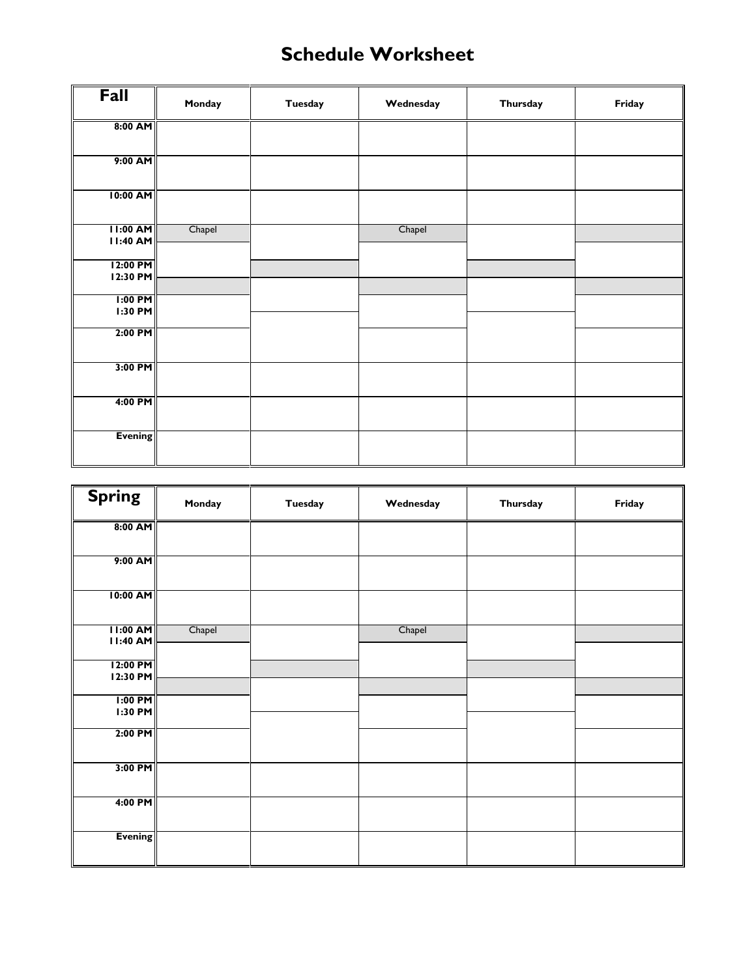## **Schedule Worksheet**

| Fall                               | Monday | <b>Tuesday</b> | Wednesday | Thursday | Friday |
|------------------------------------|--------|----------------|-----------|----------|--------|
| 8:00 AM                            |        |                |           |          |        |
| 9:00 AM                            |        |                |           |          |        |
| 10:00 AM                           |        |                |           |          |        |
| <b>II:00 AM</b><br><b>11:40 AM</b> | Chapel |                | Chapel    |          |        |
| 12:00 PM<br>12:30 PM               |        |                |           |          |        |
| $1:00$ PM<br>1:30 PM               |        |                |           |          |        |
| $2:00$ PM                          |        |                |           |          |        |
| 3:00 PM                            |        |                |           |          |        |
| 4:00 PM                            |        |                |           |          |        |
|                                    |        |                |           |          |        |
| <b>Evening</b>                     |        |                |           |          |        |

| <b>Spring</b>                 | Monday | <b>Tuesday</b> | Wednesday | Thursday | Friday |
|-------------------------------|--------|----------------|-----------|----------|--------|
| $8:00$ AM                     |        |                |           |          |        |
| $9:00$ AM                     |        |                |           |          |        |
| 10:00 AM                      |        |                |           |          |        |
| $11:00$ AM<br><b>11:40 AM</b> | Chapel |                | Chapel    |          |        |
| 12:00 PM<br>12:30 PM          |        |                |           |          |        |
| $1:00$ PM<br>$1:30$ PM        |        |                |           |          |        |
| 2:00 PM                       |        |                |           |          |        |
| $3:00$ PM                     |        |                |           |          |        |
| 4:00 PM                       |        |                |           |          |        |
| <b>Evening</b>                |        |                |           |          |        |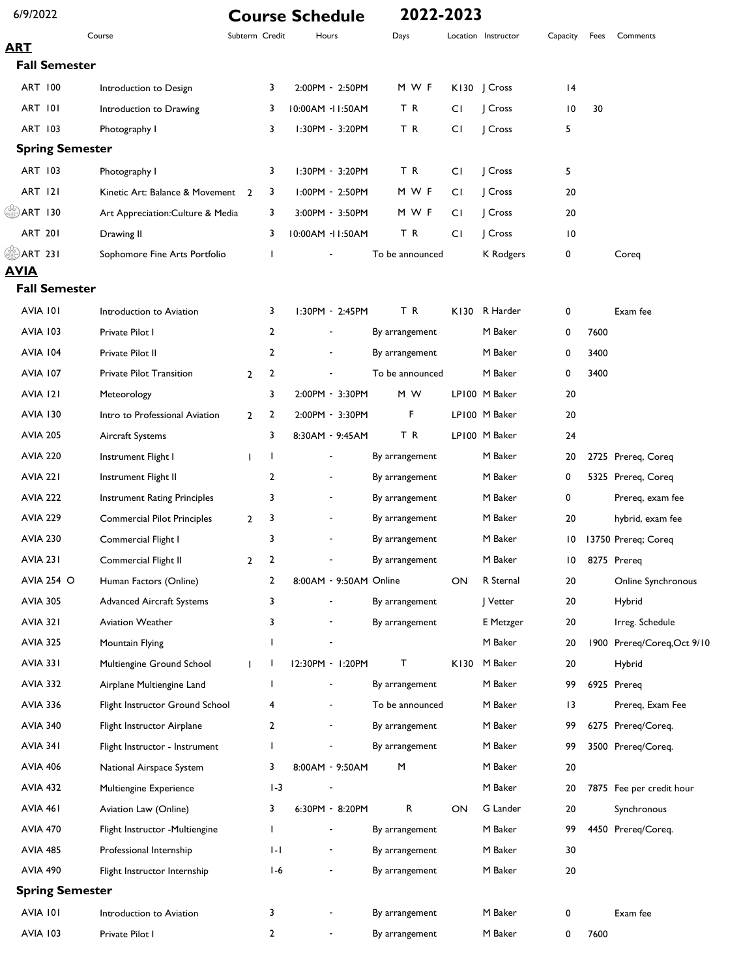| 6/9/2022               |                                     |                |                | <b>Course Schedule</b>   | 2022-2023       |      |                     |                 |      |                             |
|------------------------|-------------------------------------|----------------|----------------|--------------------------|-----------------|------|---------------------|-----------------|------|-----------------------------|
| <b>ART</b>             | Course                              | Subterm Credit |                | Hours                    | Days            |      | Location Instructor | Capacity        | Fees | Comments                    |
| <b>Fall Semester</b>   |                                     |                |                |                          |                 |      |                     |                 |      |                             |
| ART 100                | Introduction to Design              |                | 3              | 2:00PM - 2:50PM          | M W F           |      | KI30   Cross        | 4               |      |                             |
| <b>ART 101</b>         | Introduction to Drawing             |                | 3              | 10:00AM -II:50AM         | T R             | СI   | Cross               | 10              | 30   |                             |
| ART 103                | Photography I                       |                | 3              | I:30PM - 3:20PM          | TR              | CI.  | Cross               | 5               |      |                             |
| <b>Spring Semester</b> |                                     |                |                |                          |                 |      |                     |                 |      |                             |
| ART 103                | Photography I                       |                | 3              | 1:30PM - 3:20PM          | ΤR              | СI   | Cross               | 5               |      |                             |
| <b>ART 121</b>         | Kinetic Art: Balance & Movement 2   |                | 3              | I:00PM - 2:50PM          | M W F           | СI   | Cross               | 20              |      |                             |
| (SE) ART 130           | Art Appreciation: Culture & Media   |                | 3              | 3:00PM - 3:50PM          | M W F           | СI   | Cross               | 20              |      |                             |
| <b>ART 201</b>         | Drawing II                          |                | 3              | 10:00AM - 11:50AM        | TR              | СI   | Cross               | $\overline{10}$ |      |                             |
| <b>ART 231</b>         | Sophomore Fine Arts Portfolio       |                | ı              |                          | To be announced |      | K Rodgers           | 0               |      | Coreq                       |
| <b>AVIA</b>            |                                     |                |                |                          |                 |      |                     |                 |      |                             |
| <b>Fall Semester</b>   |                                     |                |                |                          |                 |      |                     |                 |      |                             |
| AVIA 101               | Introduction to Aviation            |                | 3              | $1:30PM - 2:45PM$        | T R             |      | K130 R Harder       | 0               |      | Exam fee                    |
| <b>AVIA 103</b>        | Private Pilot I                     |                | 2              |                          | By arrangement  |      | M Baker             | 0               | 7600 |                             |
| <b>AVIA 104</b>        | Private Pilot II                    |                | 2              |                          | By arrangement  |      | M Baker             | 0               | 3400 |                             |
| <b>AVIA 107</b>        | Private Pilot Transition            | $\overline{2}$ | 2              |                          | To be announced |      | M Baker             | 0               | 3400 |                             |
| AVIA 121               | Meteorology                         |                | 3              | 2:00PM - 3:30PM          | M W             |      | LP100 M Baker       | 20              |      |                             |
| <b>AVIA 130</b>        | Intro to Professional Aviation      | $\overline{2}$ | 2              | 2:00PM - 3:30PM          | F               |      | LP100 M Baker       | 20              |      |                             |
| <b>AVIA 205</b>        | Aircraft Systems                    |                | 3              | 8:30AM - 9:45AM          | TR              |      | LP100 M Baker       | 24              |      |                             |
| <b>AVIA 220</b>        | Instrument Flight I                 | $\mathbf{I}$   | J.             |                          | By arrangement  |      | M Baker             | 20              |      | 2725 Prereq, Coreq          |
| <b>AVIA 221</b>        | Instrument Flight II                |                | 2              | $\overline{\phantom{a}}$ | By arrangement  |      | M Baker             | 0               |      | 5325 Prereq, Coreq          |
| <b>AVIA 222</b>        | <b>Instrument Rating Principles</b> |                | 3              | ٠                        | By arrangement  |      | M Baker             | 0               |      | Prereq, exam fee            |
| <b>AVIA 229</b>        | <b>Commercial Pilot Principles</b>  | $\mathbf{2}$   | 3              |                          | By arrangement  |      | M Baker             | 20              |      | hybrid, exam fee            |
| <b>AVIA 230</b>        | Commercial Flight I                 |                | 3              |                          | By arrangement  |      | M Baker             | 10              |      | 13750 Prereq; Coreq         |
| <b>AVIA 231</b>        | Commercial Flight II                | 2              | 2              |                          | By arrangement  |      | M Baker             |                 |      | 10 8275 Prereq              |
| <b>AVIA 254 O</b>      | Human Factors (Online)              |                | 2              | 8:00AM - 9:50AM Online   |                 | ON   | R Sternal           | 20              |      | Online Synchronous          |
| <b>AVIA 305</b>        | <b>Advanced Aircraft Systems</b>    |                | 3              |                          | By arrangement  |      | Vetter              | 20              |      | Hybrid                      |
| <b>AVIA 321</b>        | <b>Aviation Weather</b>             |                | 3              |                          | By arrangement  |      | E Metzger           | 20              |      | Irreg. Schedule             |
| <b>AVIA 325</b>        | Mountain Flying                     |                | ı              |                          |                 |      | M Baker             | 20              |      | 1900 Prereq/Coreq, Oct 9/10 |
| <b>AVIA 331</b>        | Multiengine Ground School           | T              | J.             | 12:30PM - 1:20PM         | т               | K130 | M Baker             | 20              |      | Hybrid                      |
| <b>AVIA 332</b>        | Airplane Multiengine Land           |                | ı              |                          | By arrangement  |      | M Baker             | 99              |      | 6925 Prereq                 |
| <b>AVIA 336</b>        | Flight Instructor Ground School     |                | 4              |                          | To be announced |      | M Baker             | 13              |      | Prereq, Exam Fee            |
| <b>AVIA 340</b>        | Flight Instructor Airplane          |                | 2              |                          | By arrangement  |      | M Baker             | 99              |      | 6275 Prereq/Coreq.          |
| <b>AVIA 341</b>        | Flight Instructor - Instrument      |                | $\mathbf{I}$   |                          | By arrangement  |      | M Baker             | 99              |      | 3500 Prereq/Coreq.          |
| <b>AVIA 406</b>        | National Airspace System            |                | 3              | 8:00AM - 9:50AM          | M               |      | M Baker             | 20              |      |                             |
| <b>AVIA 432</b>        | Multiengine Experience              |                | $1-3$          |                          |                 |      | M Baker             | 20              |      | 7875 Fee per credit hour    |
| AVIA 461               | Aviation Law (Online)               |                | 3              | 6:30PM - 8:20PM          | R               | ON   | G Lander            | 20              |      | Synchronous                 |
| <b>AVIA 470</b>        | Flight Instructor - Multiengine     |                | ı              |                          | By arrangement  |      | M Baker             | 99              |      | 4450 Prereq/Coreq.          |
| <b>AVIA 485</b>        | Professional Internship             |                | I-L            |                          | By arrangement  |      | M Baker             | 30              |      |                             |
| <b>AVIA 490</b>        | Flight Instructor Internship        |                | $1-6$          |                          | By arrangement  |      | M Baker             | 20              |      |                             |
| <b>Spring Semester</b> |                                     |                |                |                          |                 |      |                     |                 |      |                             |
| <b>AVIA 101</b>        | Introduction to Aviation            |                | 3              |                          | By arrangement  |      | M Baker             | 0               |      | Exam fee                    |
| <b>AVIA 103</b>        | Private Pilot I                     |                | $\overline{2}$ | $\overline{\phantom{a}}$ | By arrangement  |      | M Baker             | 0               | 7600 |                             |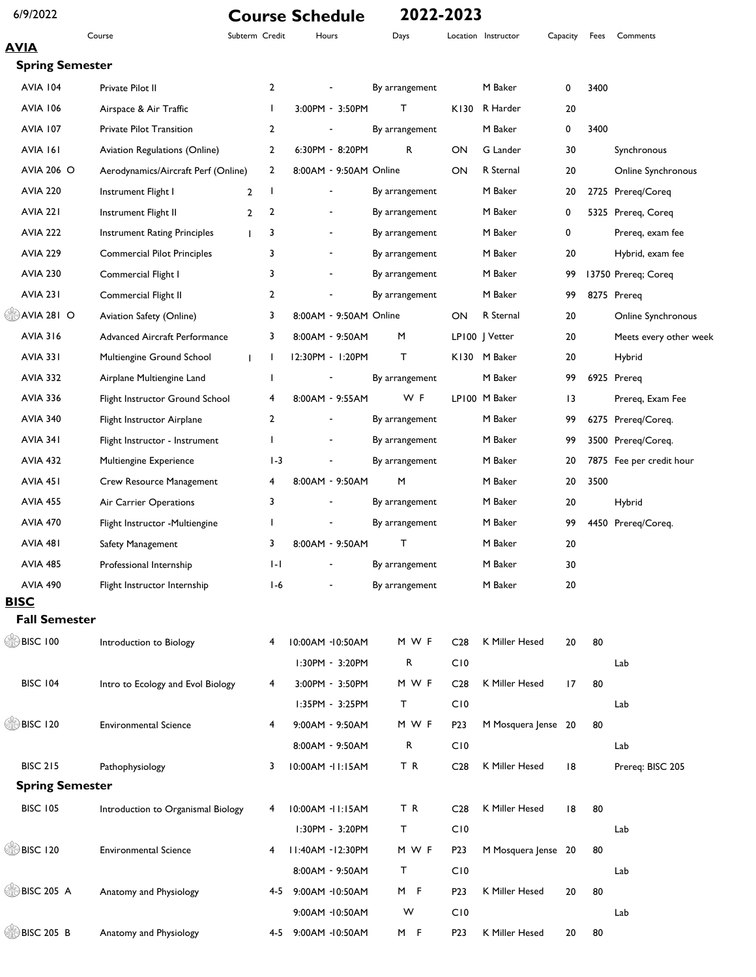### 6/9/2022 **Course Schedule 2022-2023**

Course Subterm Credit Hours Days Location Instructor Capacity Fees Comments

### **AVIA Spring Semester**

| <b>AVIA 104</b>           | Private Pilot II                          | $\overline{2}$ |                          | By arrangement |                  | M Baker             | 0  | 3400 |                          |
|---------------------------|-------------------------------------------|----------------|--------------------------|----------------|------------------|---------------------|----|------|--------------------------|
| <b>AVIA 106</b>           | Airspace & Air Traffic                    | $\mathbf{I}$   | 3:00PM - 3:50PM          | т              | K130             | R Harder            | 20 |      |                          |
| <b>AVIA 107</b>           | Private Pilot Transition                  | 2              |                          | By arrangement |                  | M Baker             | 0  | 3400 |                          |
| AVIA 161                  | Aviation Regulations (Online)             | $\overline{2}$ | 6:30PM - 8:20PM          | R              | ON               | G Lander            | 30 |      | Synchronous              |
| <b>AVIA 206 O</b>         | Aerodynamics/Aircraft Perf (Online)       | 2              | 8:00AM - 9:50AM Online   |                | ON               | R Sternal           | 20 |      | Online Synchronous       |
| <b>AVIA 220</b>           | Instrument Flight I<br>$\overline{2}$     | J.             |                          | By arrangement |                  | M Baker             | 20 |      | 2725 Prereq/Coreq        |
| <b>AVIA 221</b>           | Instrument Flight II<br>$\overline{2}$    | 2              | $\overline{\phantom{a}}$ | By arrangement |                  | M Baker             | 0  |      | 5325 Prereq, Coreq       |
| <b>AVIA 222</b>           | <b>Instrument Rating Principles</b>       | 3              | $\overline{\phantom{a}}$ | By arrangement |                  | M Baker             | 0  |      | Prereq, exam fee         |
| <b>AVIA 229</b>           | <b>Commercial Pilot Principles</b>        | 3              | $\overline{\phantom{a}}$ | By arrangement |                  | M Baker             | 20 |      | Hybrid, exam fee         |
| <b>AVIA 230</b>           | Commercial Flight I                       | 3              |                          | By arrangement |                  | M Baker             | 99 |      | 13750 Prereq; Coreq      |
| AVIA 231                  | Commercial Flight II                      | 2              |                          | By arrangement |                  | M Baker             | 99 |      | 8275 Prereq              |
| $\circledcirc$ AVIA 281 O | Aviation Safety (Online)                  | 3              | 8:00AM - 9:50AM Online   |                | ON               | R Sternal           | 20 |      | Online Synchronous       |
| <b>AVIA 316</b>           | <b>Advanced Aircraft Performance</b>      | 3              | 8:00AM - 9:50AM          | M              |                  | LP100   Vetter      | 20 |      | Meets every other week   |
| <b>AVIA 331</b>           | Multiengine Ground School<br>$\mathbf{I}$ | $\mathbf{I}$   | 12:30PM - 1:20PM         | т              | K130             | M Baker             | 20 |      | Hybrid                   |
| <b>AVIA 332</b>           | Airplane Multiengine Land                 | ı              |                          | By arrangement |                  | M Baker             | 99 |      | 6925 Prereg              |
| <b>AVIA 336</b>           | Flight Instructor Ground School           | 4              | 8:00AM - 9:55AM          | WF             |                  | LP100 M Baker       | 13 |      | Prereq, Exam Fee         |
| <b>AVIA 340</b>           | Flight Instructor Airplane                | 2              |                          | By arrangement |                  | M Baker             | 99 |      | 6275 Prereq/Coreq.       |
| <b>AVIA 341</b>           | Flight Instructor - Instrument            |                | $\overline{\phantom{a}}$ | By arrangement |                  | M Baker             | 99 |      | 3500 Prereq/Coreq.       |
| <b>AVIA 432</b>           | Multiengine Experience                    | $1-3$          | $\overline{\phantom{a}}$ | By arrangement |                  | M Baker             | 20 |      | 7875 Fee per credit hour |
| AVIA 451                  | Crew Resource Management                  | 4              | 8:00AM - 9:50AM          | M              |                  | M Baker             | 20 | 3500 |                          |
| <b>AVIA 455</b>           | Air Carrier Operations                    | 3              |                          | By arrangement |                  | M Baker             | 20 |      | Hybrid                   |
| <b>AVIA 470</b>           | Flight Instructor - Multiengine           | J              |                          | By arrangement |                  | M Baker             | 99 |      | 4450 Prereq/Coreq.       |
| AVIA 481                  | Safety Management                         | 3              | 8:00AM - 9:50AM          | т              |                  | M Baker             | 20 |      |                          |
| <b>AVIA 485</b>           | Professional Internship                   | I-I            |                          | By arrangement |                  | M Baker             | 30 |      |                          |
| <b>AVIA 490</b>           | Flight Instructor Internship              | I-6            |                          | By arrangement |                  | M Baker             | 20 |      |                          |
| <b>BISC</b>               |                                           |                |                          |                |                  |                     |    |      |                          |
| <b>Fall Semester</b>      |                                           |                |                          |                |                  |                     |    |      |                          |
| $\circledcirc$ BISC 100   | Introduction to Biology                   | 4              | 10:00AM -10:50AM         | M W F          | C <sub>28</sub>  | K Miller Hesed      | 20 | 80   |                          |
|                           |                                           |                | 1:30PM - 3:20PM          | R              | C10              |                     |    |      | Lab                      |
| <b>BISC 104</b>           | Intro to Ecology and Evol Biology         | 4              | 3:00PM - 3:50PM          | M W F          | C <sub>28</sub>  | K Miller Hesed      | 17 | 80   |                          |
|                           |                                           |                | I:35PM - 3:25PM          | Τ              | C10              |                     |    |      | Lab                      |
| $\circled{=}$ BISC 120    | <b>Environmental Science</b>              | 4              | 9:00AM - 9:50AM          | M W F          | P <sub>2</sub> 3 | M Mosquera Jense 20 |    | 80   |                          |
|                           |                                           |                | 8:00AM - 9:50AM          | R              | C10              |                     |    |      | Lab                      |
| <b>BISC 215</b>           | Pathophysiology                           | 3              | 10:00AM -11:15AM         | TR             | C <sub>28</sub>  | K Miller Hesed      | 8  |      | Prereq: BISC 205         |
| <b>Spring Semester</b>    |                                           |                |                          |                |                  |                     |    |      |                          |
| <b>BISC 105</b>           | Introduction to Organismal Biology        | 4              | 10:00AM -11:15AM         | TR             | C <sub>28</sub>  | K Miller Hesed      | 8  | 80   |                          |
|                           |                                           |                | I:30PM - 3:20PM          | Τ              | C10              |                     |    |      | Lab                      |
| $\circledcirc$ BISC 120   | <b>Environmental Science</b>              | 4              | II:40AM - I2:30PM        | M W F          | P <sub>2</sub> 3 | M Mosquera Jense 20 |    | 80   |                          |
|                           |                                           |                | 8:00AM - 9:50AM          | Τ              | C10              |                     |    |      | Lab                      |
| <b>BISC 205 A</b>         | Anatomy and Physiology                    |                | 4-5 9:00AM -10:50AM      | M F            | P <sub>2</sub> 3 | K Miller Hesed      | 20 | 80   |                          |
|                           |                                           |                | 9:00AM -10:50AM          | W              | C10              |                     |    |      | Lab                      |
| <b>BISC 205 B</b>         | Anatomy and Physiology                    | 4-5            | 9:00AM -10:50AM          | M F            | P23              | K Miller Hesed      | 20 | 80   |                          |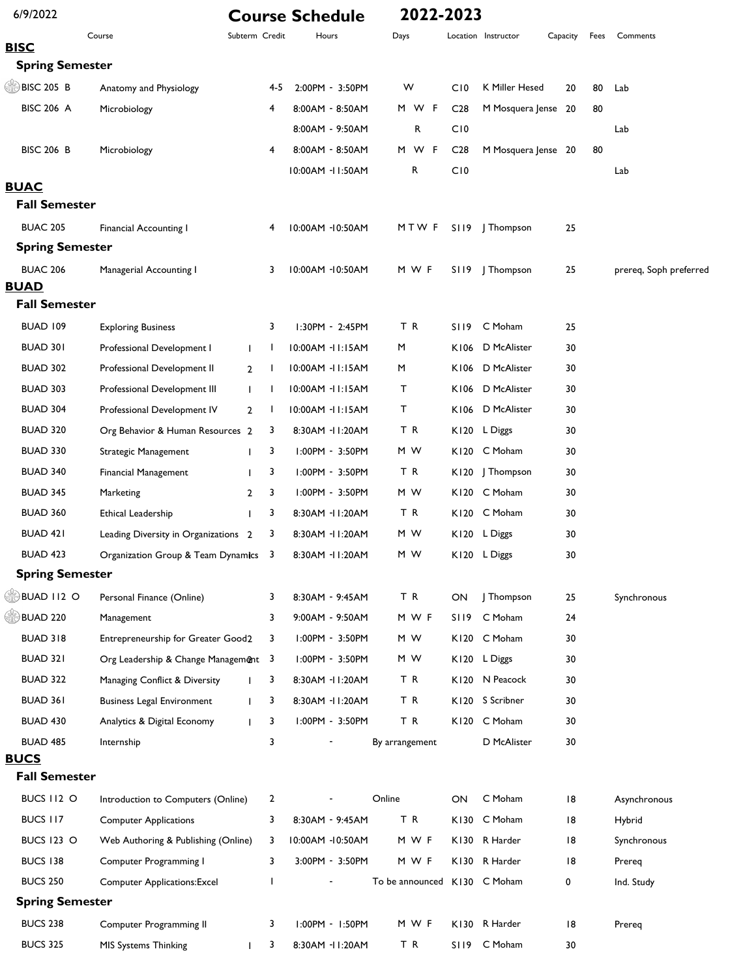| 6/9/2022                              |                                      |                              |     | <b>Course Schedule</b> | 2022-2023                    |                 |                     |          |      |                        |
|---------------------------------------|--------------------------------------|------------------------------|-----|------------------------|------------------------------|-----------------|---------------------|----------|------|------------------------|
|                                       | Course                               | Subterm Credit               |     | Hours                  | Days                         |                 | Location Instructor | Capacity | Fees | Comments               |
| <b>BISC</b><br><b>Spring Semester</b> |                                      |                              |     |                        |                              |                 |                     |          |      |                        |
| <b>BISC 205 B</b>                     | Anatomy and Physiology               |                              | 4-5 | 2:00PM - 3:50PM        | W                            | C <sub>10</sub> | K Miller Hesed      | 20       | 80   | Lab                    |
| <b>BISC 206 A</b>                     | Microbiology                         | 4                            |     | 8:00AM - 8:50AM        | M W F                        | C <sub>28</sub> | M Mosquera Jense 20 |          | 80   |                        |
|                                       |                                      |                              |     | 8:00AM - 9:50AM        | R                            | C10             |                     |          |      |                        |
| <b>BISC 206 B</b>                     | Microbiology                         | 4                            |     | 8:00AM - 8:50AM        | M W F                        | C <sub>28</sub> | M Mosquera Jense 20 |          | 80   | Lab                    |
|                                       |                                      |                              |     | 10:00AM - 11:50AM      | R                            | C10             |                     |          |      | Lab                    |
| <b>BUAC</b><br><b>Fall Semester</b>   |                                      |                              |     |                        |                              |                 |                     |          |      |                        |
| <b>BUAC 205</b>                       | <b>Financial Accounting I</b>        | 4                            |     | 10:00AM -10:50AM       | MTW F                        |                 | S119   Thompson     | 25       |      |                        |
| <b>Spring Semester</b>                |                                      |                              |     |                        |                              |                 |                     |          |      |                        |
| <b>BUAC 206</b>                       | Managerial Accounting I              | 3                            |     | 10:00AM -10:50AM       | M W F                        |                 | S119   Thompson     | 25       |      | prereq, Soph preferred |
| <b>BUAD</b>                           |                                      |                              |     |                        |                              |                 |                     |          |      |                        |
| <b>Fall Semester</b>                  |                                      |                              |     |                        |                              |                 |                     |          |      |                        |
| BUAD 109                              | <b>Exploring Business</b>            | 3                            |     | $1:30PM - 2:45PM$      | TR                           | SI 19           | C Moham             | 25       |      |                        |
| BUAD 301                              | Professional Development I           | $\mathbf{I}$<br>$\mathbf{I}$ |     | 10:00AM -11:15AM       | M                            | K106            | D McAlister         | 30       |      |                        |
| <b>BUAD 302</b>                       | Professional Development II          | 2<br>$\mathbf{I}$            |     | 10:00AM -11:15AM       | M                            | K106            | D McAlister         | 30       |      |                        |
| <b>BUAD 303</b>                       | Professional Development III         | $\mathbf{L}$<br>$\mathbf{I}$ |     | 10:00AM -11:15AM       | т                            |                 | K106 D McAlister    | 30       |      |                        |
| <b>BUAD 304</b>                       | Professional Development IV          | $\mathbf{2}$<br>J.           |     | 10:00AM -11:15AM       | т                            |                 | K106 D McAlister    | 30       |      |                        |
| <b>BUAD 320</b>                       | Org Behavior & Human Resources 2     | 3                            |     | 8:30AM - II:20AM       | ΤR                           |                 | K120 L Diggs        | 30       |      |                        |
| <b>BUAD 330</b>                       | Strategic Management                 | 3<br>T                       |     | $1:00PM - 3:50PM$      | M W                          |                 | K120 C Moham        | 30       |      |                        |
| <b>BUAD 340</b>                       | Financial Management                 | 3<br>T                       |     | I:00PM - 3:50PM        | TR                           |                 | K120   Thompson     | 30       |      |                        |
| <b>BUAD 345</b>                       | Marketing                            | 3<br>$\overline{2}$          |     | $1:00PM - 3:50PM$      | M W                          |                 | K120 C Moham        | 30       |      |                        |
| <b>BUAD 360</b>                       | Ethical Leadership                   | 3<br>T                       |     | 8:30AM - II:20AM       | ΤR                           |                 | K120 C Moham        | 30       |      |                        |
| <b>BUAD 421</b>                       | Leading Diversity in Organizations 2 | 3                            |     | 8:30AM - II:20AM       | M W                          |                 | K120 L Diggs        | 30       |      |                        |
| <b>BUAD 423</b>                       | Organization Group & Team Dynamics   | 3                            |     | 8:30AM - II:20AM       | M W                          |                 | K120 L Diggs        | 30       |      |                        |
| <b>Spring Semester</b>                |                                      |                              |     |                        |                              |                 |                     |          |      |                        |
| <b>BUAD II2 O</b>                     | Personal Finance (Online)            | 3                            |     | 8:30AM - 9:45AM        | TR                           | ON              | J Thompson          | 25       |      | Synchronous            |
| <b>BUAD 220</b>                       | Management                           | 3                            |     | 9:00AM - 9:50AM        | M W F                        | SI 19           | C Moham             | 24       |      |                        |
| <b>BUAD 318</b>                       | Entrepreneurship for Greater Good2   | 3                            |     | I:00PM - 3:50PM        | M W                          |                 | K120 C Moham        | 30       |      |                        |
| BUAD 321                              | Org Leadership & Change Management 3 |                              |     | I:00PM - 3:50PM        | M W                          |                 | K120 L Diggs        | 30       |      |                        |
| <b>BUAD 322</b>                       | Managing Conflict & Diversity        | 3                            |     | 8:30AM - II:20AM       | TR                           | K120            | N Peacock           | 30       |      |                        |
| <b>BUAD 361</b>                       | <b>Business Legal Environment</b>    | 3<br>T                       |     | 8:30AM - II:20AM       | ΤR                           |                 | K120 S Scribner     | 30       |      |                        |
| <b>BUAD 430</b>                       | Analytics & Digital Economy          | 3<br>T                       |     | I:00PM - 3:50PM        | TR                           |                 | K120 C Moham        | 30       |      |                        |
| <b>BUAD 485</b>                       | Internship                           | 3                            |     |                        | By arrangement               |                 | D McAlister         | 30       |      |                        |
| <b>BUCS</b>                           |                                      |                              |     |                        |                              |                 |                     |          |      |                        |
| <b>Fall Semester</b>                  |                                      |                              |     |                        |                              |                 |                     |          |      |                        |
| BUCS II2 O                            | Introduction to Computers (Online)   | 2                            |     |                        | Online                       | ON              | C Moham             | 18       |      | Asynchronous           |
| BUCS 117                              | <b>Computer Applications</b>         | 3                            |     | 8:30AM - 9:45AM        | TR                           | K130            | C Moham             | 18       |      | Hybrid                 |
| <b>BUCS 123 O</b>                     | Web Authoring & Publishing (Online)  | 3                            |     | 10:00AM -10:50AM       | M W F                        |                 | K130 R Harder       | 18       |      | Synchronous            |
| <b>BUCS 138</b>                       | Computer Programming I               | 3                            |     | 3:00PM - 3:50PM        | M W F                        |                 | K130 R Harder       | 18       |      | Prereq                 |
| <b>BUCS 250</b>                       | <b>Computer Applications:Excel</b>   | ı                            |     |                        | To be announced K130 C Moham |                 |                     | 0        |      | Ind. Study             |
| <b>Spring Semester</b>                |                                      |                              |     |                        |                              |                 |                     |          |      |                        |
| <b>BUCS 238</b>                       | Computer Programming II              | 3                            |     | I:00PM - I:50PM        | M W F                        | K130            | R Harder            | 18       |      | Prereq                 |
| <b>BUCS 325</b>                       | MIS Systems Thinking                 | 3                            |     | 8:30AM - II:20AM       | TR                           | S119            | C Moham             | 30       |      |                        |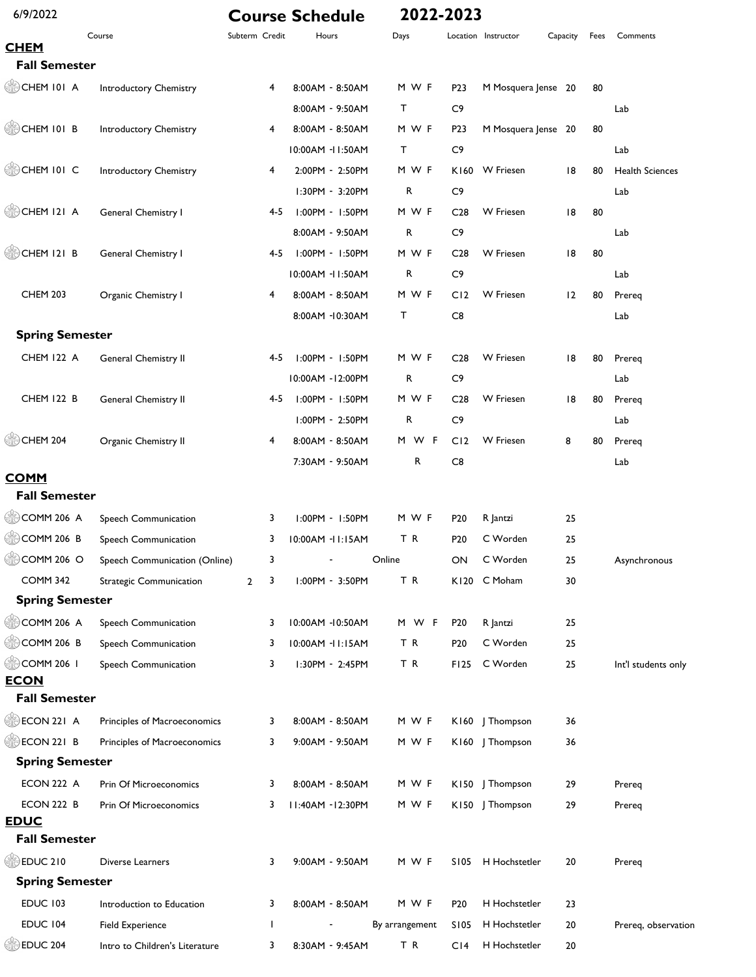| 6/9/2022                            |                                |                     |     | <b>Course Schedule</b> | 2022-2023      |                  |                     |          |      |                        |
|-------------------------------------|--------------------------------|---------------------|-----|------------------------|----------------|------------------|---------------------|----------|------|------------------------|
|                                     | Course                         | Subterm Credit      |     | Hours                  | Days           |                  | Location Instructor | Capacity | Fees | Comments               |
| <b>CHEM</b><br><b>Fall Semester</b> |                                |                     |     |                        |                |                  |                     |          |      |                        |
| $\circled{=}$ CHEM 101 A            | Introductory Chemistry         | 4                   |     | 8:00AM - 8:50AM        | M W F          | P <sub>2</sub> 3 | M Mosquera Jense 20 |          | 80   |                        |
|                                     |                                |                     |     | 8:00AM - 9:50AM        | т              | C9               |                     |          |      | Lab                    |
| CHEM 101 B                          | Introductory Chemistry         | 4                   |     | 8:00AM - 8:50AM        | M W F          | P <sub>2</sub> 3 | M Mosquera Jense 20 |          | 80   |                        |
|                                     |                                |                     |     | 10:00AM -11:50AM       | т              | C9               |                     |          |      | Lab                    |
| CHEM 101 C                          | Introductory Chemistry         | 4                   |     | 2:00PM - 2:50PM        | M W F          | K160             | W Friesen           | 18       | 80   | <b>Health Sciences</b> |
|                                     |                                |                     |     | I:30PM - 3:20PM        | R              | C9               |                     |          |      | Lab                    |
| CHEM 121 A                          | General Chemistry I            |                     | 4-5 | I:00PM - I:50PM        | M W F          | C <sub>28</sub>  | <b>W</b> Friesen    | 8        | 80   |                        |
|                                     |                                |                     |     | 8:00AM - 9:50AM        | R              | C9               |                     |          |      | Lab                    |
| CHEM 121 B                          | General Chemistry I            |                     | 4-5 | I:00PM - I:50PM        | M W F          | C <sub>28</sub>  | W Friesen           | 18       | 80   |                        |
|                                     |                                |                     |     | 10:00AM -11:50AM       | R              | C9               |                     |          |      | Lab                    |
| <b>CHEM 203</b>                     | Organic Chemistry I            | 4                   |     | 8:00AM - 8:50AM        | M W F          | C12              | <b>W</b> Friesen    | 12       | 80   | Prereq                 |
|                                     |                                |                     |     | 8:00AM -10:30AM        | т              | C8               |                     |          |      | Lab                    |
| <b>Spring Semester</b>              |                                |                     |     |                        |                |                  |                     |          |      |                        |
| <b>CHEM 122 A</b>                   | General Chemistry II           |                     | 4-5 | $1:00PM - 1:50PM$      | M W F          | C <sub>28</sub>  | <b>W</b> Friesen    | 18       | 80   | Prereq                 |
|                                     |                                |                     |     | 10:00AM - 12:00PM      | R              | C9               |                     |          |      | Lab                    |
| <b>CHEM 122 B</b>                   | General Chemistry II           |                     | 4-5 | 1:00PM - 1:50PM        | M W F          | C <sub>28</sub>  | <b>W</b> Friesen    | 18       | 80   | Prereq                 |
|                                     |                                |                     |     | I:00PM - 2:50PM        | R              | C9               |                     |          |      | Lab                    |
| CHEM 204                            | Organic Chemistry II           | 4                   |     | 8:00AM - 8:50AM        | M W F          | CI2              | <b>W</b> Friesen    | 8        | 80   | Prereq                 |
|                                     |                                |                     |     | 7:30AM - 9:50AM        | R              | C8               |                     |          |      | Lab                    |
| <b>COMM</b>                         |                                |                     |     |                        |                |                  |                     |          |      |                        |
| <b>Fall Semester</b>                |                                |                     |     |                        |                |                  |                     |          |      |                        |
| COMM 206 A                          | Speech Communication           | 3                   |     | $1:00PM - 1:50PM$      | M W F          | P <sub>20</sub>  | R Jantzi            | 25       |      |                        |
| $\circledcirc$ COMM 206 B           | Speech Communication           | 3                   |     | 10:00AM -11:15AM       | T R            | P <sub>20</sub>  | C Worden            | 25       |      |                        |
| COMM 206 O                          | Speech Communication (Online)  | 3                   |     |                        | Online         | ON.              | C Worden            | 25       |      | Asynchronous           |
| <b>COMM 342</b>                     | <b>Strategic Communication</b> | $\overline{2}$<br>3 |     | I:00PM - 3:50PM        | TR             |                  | K120 C Moham        | 30       |      |                        |
| <b>Spring Semester</b>              |                                |                     |     |                        |                |                  |                     |          |      |                        |
| $\circledcirc$ COMM 206 A           | Speech Communication           | 3                   |     | 10:00AM -10:50AM       | M W F          | P <sub>20</sub>  | R Jantzi            | 25       |      |                        |
| COMM 206 B                          | Speech Communication           | 3                   |     | 10:00AM - II:15AM      | TR             | P <sub>20</sub>  | C Worden            | 25       |      |                        |
| COMM 206 I                          | Speech Communication           | 3                   |     | I:30PM - 2:45PM        | TR             | F125             | C Worden            | 25       |      | Int'l students only    |
| <b>ECON</b>                         |                                |                     |     |                        |                |                  |                     |          |      |                        |
| <b>Fall Semester</b>                |                                |                     |     |                        |                |                  |                     |          |      |                        |
| ECON 221 A                          | Principles of Macroeconomics   | 3                   |     | 8:00AM - 8:50AM        | M W F          |                  | K160   Thompson     | 36       |      |                        |
| <b>ECON 221 B</b>                   | Principles of Macroeconomics   | 3                   |     | 9:00AM - 9:50AM        | M W F          |                  | K160   Thompson     | 36       |      |                        |
| <b>Spring Semester</b>              |                                |                     |     |                        |                |                  |                     |          |      |                        |
| ECON 222 A                          | Prin Of Microeconomics         | 3                   |     | 8:00AM - 8:50AM        | M W F          |                  | K150   Thompson     | 29       |      | Prereg                 |
| ECON 222 B<br><b>EDUC</b>           | Prin Of Microeconomics         | 3                   |     | 11:40AM -12:30PM       | M W F          |                  | K150   Thompson     | 29       |      | Prereq                 |
| <b>Fall Semester</b>                |                                |                     |     |                        |                |                  |                     |          |      |                        |
| $\circledcirc$ EDUC 210             | Diverse Learners               | 3                   |     | 9:00AM - 9:50AM        | M W F          |                  | S105 H Hochstetler  | 20       |      | Prereq                 |
| <b>Spring Semester</b>              |                                |                     |     |                        |                |                  |                     |          |      |                        |
| <b>EDUC 103</b>                     | Introduction to Education      | 3                   |     | 8:00AM - 8:50AM        | M W F          | P <sub>20</sub>  | H Hochstetler       | 23       |      |                        |
| EDUC 104                            | Field Experience               | T                   |     |                        | By arrangement | S105             | H Hochstetler       | 20       |      | Prereq, observation    |
| <b>SEDUC 204</b>                    | Intro to Children's Literature | 3                   |     | 8:30AM - 9:45AM        | TR             | C <sub>14</sub>  | H Hochstetler       | 20       |      |                        |
|                                     |                                |                     |     |                        |                |                  |                     |          |      |                        |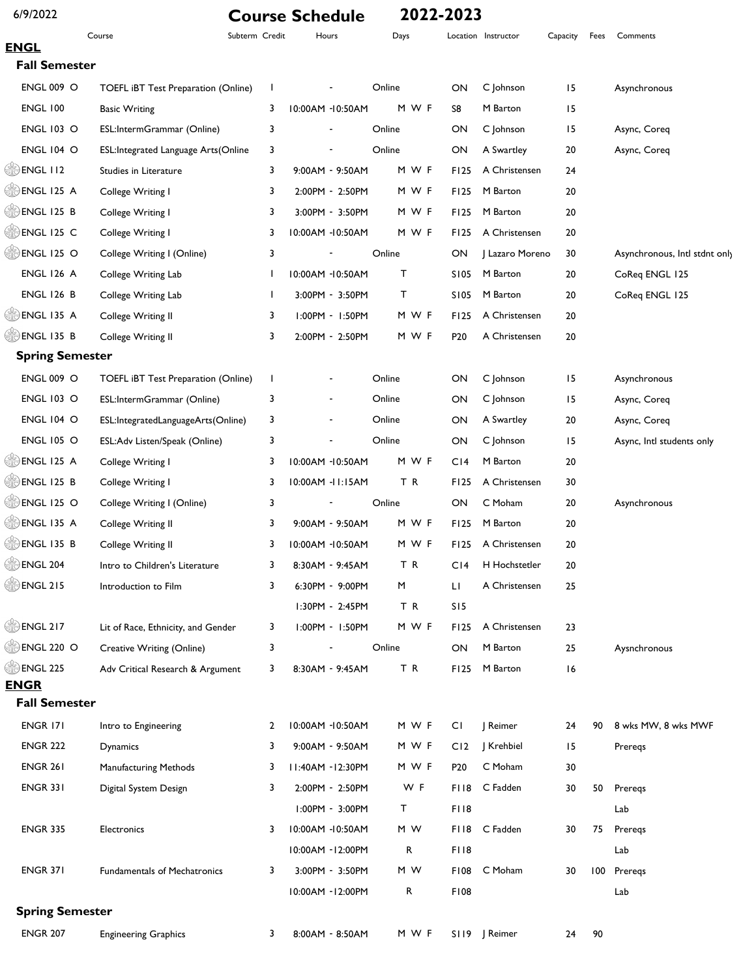| 6/9/2022                  |                                     |                | <b>Course Schedule</b>   |        | 2022-2023       |                     |          |      |                               |
|---------------------------|-------------------------------------|----------------|--------------------------|--------|-----------------|---------------------|----------|------|-------------------------------|
| <b>ENGL</b>               | Course                              | Subterm Credit | Hours                    | Days   |                 | Location Instructor | Capacity | Fees | Comments                      |
| <b>Fall Semester</b>      |                                     |                |                          |        |                 |                     |          |      |                               |
| <b>ENGL 009 O</b>         | TOEFL iBT Test Preparation (Online) | J.             |                          | Online | ON              | C Johnson           | 15       |      | Asynchronous                  |
| <b>ENGL 100</b>           | <b>Basic Writing</b>                | 3              | 10:00AM -10:50AM         | M W F  | S8              | M Barton            | 15       |      |                               |
| <b>ENGL 103 O</b>         | ESL:IntermGrammar (Online)          | 3              |                          | Online | ON              | C Johnson           | 15       |      | Async, Coreq                  |
| <b>ENGL 104 O</b>         | ESL:Integrated Language Arts(Online | 3              |                          | Online | ON              | A Swartley          | 20       |      | Async, Coreq                  |
| $\circled{ }$ ENGL 112    | Studies in Literature               | 3              | 9:00AM - 9:50AM          | M W F  | <b>FI25</b>     | A Christensen       | 24       |      |                               |
| $\circledcirc$ ENGL 125 A | College Writing I                   | 3              | 2:00PM - 2:50PM          | M W F  | <b>FI25</b>     | M Barton            | 20       |      |                               |
| <b>B</b> ENGL 125 B       | College Writing I                   | 3              | 3:00PM - 3:50PM          | M W F  | F125            | M Barton            | 20       |      |                               |
| <b>ENGL 125 C</b>         | College Writing I                   | 3              | 10:00AM -10:50AM         | M W F  | F125            | A Christensen       | 20       |      |                               |
| $\circledcirc$ ENGL 125 O | College Writing I (Online)          | 3              |                          | Online | ON              | J Lazaro Moreno     | 30       |      | Asynchronous, Intl stdnt only |
| <b>ENGL 126 A</b>         | College Writing Lab                 | 1              | 10:00AM -10:50AM         | т      | S105            | M Barton            | 20       |      | CoReq ENGL 125                |
| <b>ENGL 126 B</b>         | College Writing Lab                 | T              | 3:00PM - 3:50PM          | T      | S105            | M Barton            | 20       |      | CoReq ENGL 125                |
| <b>ENGL 135 A</b>         | College Writing II                  | 3              | $1:00PM - 1:50PM$        | M W F  | F125            | A Christensen       | 20       |      |                               |
| <b>ENGL 135 B</b>         | College Writing II                  | 3              | 2:00PM - 2:50PM          | M W F  | P <sub>20</sub> | A Christensen       | 20       |      |                               |
| <b>Spring Semester</b>    |                                     |                |                          |        |                 |                     |          |      |                               |
| <b>ENGL 009 O</b>         | TOEFL iBT Test Preparation (Online) | J.             |                          | Online | ON              | C Johnson           | 15       |      | Asynchronous                  |
| <b>ENGL 103 O</b>         | ESL:IntermGrammar (Online)          | 3              | $\overline{\phantom{a}}$ | Online | ON              | C Johnson           | 15       |      | Async, Coreq                  |
| <b>ENGL 104 O</b>         | ESL:IntegratedLanguageArts(Online)  | 3              | $\overline{\phantom{a}}$ | Online | ON              | A Swartley          | 20       |      | Async, Coreq                  |
| <b>ENGL 105 O</b>         | ESL:Adv Listen/Speak (Online)       | 3              | $\overline{\phantom{a}}$ | Online | ON              | C Johnson           | 15       |      | Async, Intl students only     |
| <b>ENGL 125 A</b>         | College Writing I                   | 3              | 10:00AM -10:50AM         | M W F  | C <sub>14</sub> | M Barton            | 20       |      |                               |
| <b>ENGL 125 B</b>         | College Writing I                   | 3              | 10:00AM - II:15AM        | TR     | F125            | A Christensen       | 30       |      |                               |
| <b>ENGL 125 O</b>         | College Writing I (Online)          | 3              |                          | Online | ON              | C Moham             | 20       |      | Asynchronous                  |
| <b>ENGL 135 A</b>         | College Writing II                  | 3              | 9:00AM - 9:50AM          | M W F  | F125            | M Barton            | 20       |      |                               |
| <b>B</b> ENGL 135 B       | College Writing II                  | 3              | 10:00AM -10:50AM         | M W F  | F125            | A Christensen       | 20       |      |                               |
| <b>DENGL 204</b>          | Intro to Children's Literature      | 3              | 8:30AM - 9:45AM          | ΤR     | CI4             | H Hochstetler       | 20       |      |                               |
| $\circledcirc$ ENGL 215   | Introduction to Film                | 3              | 6:30PM - 9:00PM          | M      | Ш               | A Christensen       | 25       |      |                               |
|                           |                                     |                | I:30PM - 2:45PM          | TR     | S15             |                     |          |      |                               |
| <b>DENGL 217</b>          | Lit of Race, Ethnicity, and Gender  | 3              | I:00PM - I:50PM          | M W F  | <b>FI25</b>     | A Christensen       | 23       |      |                               |
| <b>ENGL 220 O</b>         | Creative Writing (Online)           | 3              |                          | Online | ON              | M Barton            | 25       |      | Aysnchronous                  |
| <b>ENGL 225</b>           | Adv Critical Research & Argument    | 3              | 8:30AM - 9:45AM          | TR     | F125            | M Barton            | 16       |      |                               |
| <b>ENGR</b>               |                                     |                |                          |        |                 |                     |          |      |                               |
| <b>Fall Semester</b>      |                                     |                |                          |        |                 |                     |          |      |                               |
| ENGR 171                  | Intro to Engineering                | 2              | 10:00AM -10:50AM         | M W F  | СI              | Reimer              | 24       | 90   | 8 wks MW, 8 wks MWF           |
| <b>ENGR 222</b>           | Dynamics                            | 3              | 9:00AM - 9:50AM          | M W F  | C <sub>12</sub> | Krehbiel            | 15       |      | Preregs                       |
| <b>ENGR 261</b>           | Manufacturing Methods               | 3              | II:40AM - I2:30PM        | M W F  | P <sub>20</sub> | C Moham             | 30       |      |                               |
| <b>ENGR 331</b>           | Digital System Design               | 3              | 2:00PM - 2:50PM          | W F    |                 | FI18 C Fadden       | 30       | 50   | Preregs                       |
|                           |                                     |                | I:00PM - 3:00PM          | T.     | FI18            |                     |          |      | Lab                           |
| <b>ENGR 335</b>           | Electronics                         | 3              | 10:00AM -10:50AM         | M W    |                 | FII8 C Fadden       | 30       | 75   | Preregs                       |
|                           |                                     |                | 10:00AM - 12:00PM        | R      | FI18            |                     |          |      | Lab                           |
| <b>ENGR 371</b>           | <b>Fundamentals of Mechatronics</b> | 3              | 3:00PM - 3:50PM          | M W    |                 | F108 C Moham        | 30       |      | 100 Preregs                   |
|                           |                                     |                | 10:00AM -12:00PM         | R      | <b>F108</b>     |                     |          |      | Lab                           |
| <b>Spring Semester</b>    |                                     |                |                          |        |                 |                     |          |      |                               |
| <b>ENGR 207</b>           | <b>Engineering Graphics</b>         | 3              | 8:00AM - 8:50AM          | M W F  |                 | S119 J Reimer       | 24       | 90   |                               |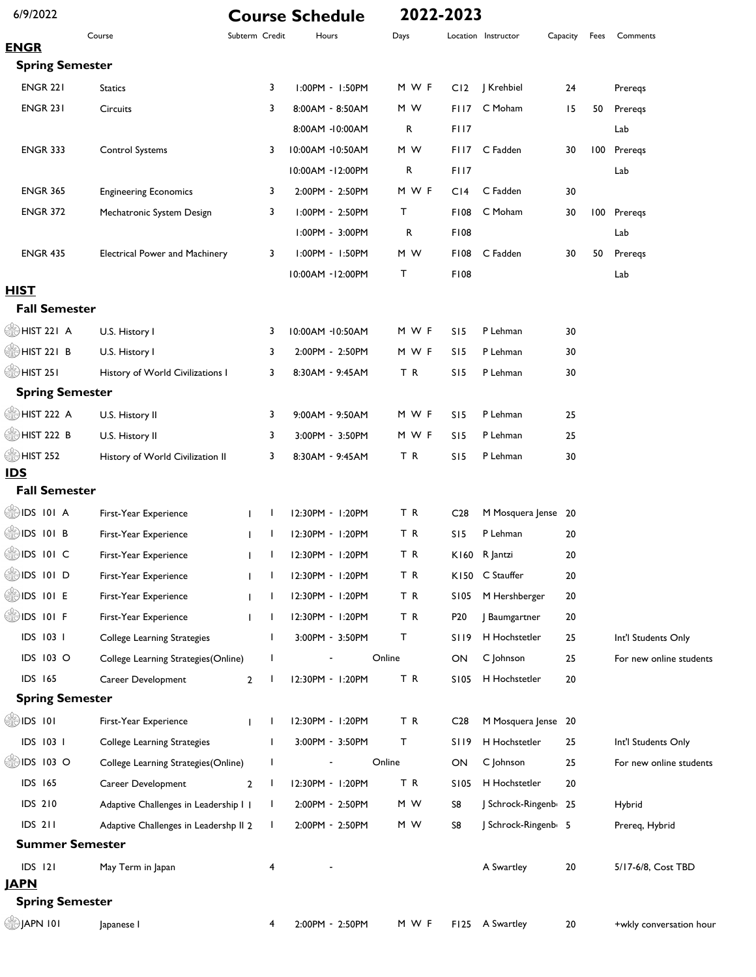| 6/9/2022                 |                                       |                                | <b>Course Schedule</b> | 2022-2023 |                 |                     |          |      |                         |
|--------------------------|---------------------------------------|--------------------------------|------------------------|-----------|-----------------|---------------------|----------|------|-------------------------|
| <b>ENGR</b>              | Course                                | Subterm Credit                 | Hours                  | Days      |                 | Location Instructor | Capacity | Fees | Comments                |
| <b>Spring Semester</b>   |                                       |                                |                        |           |                 |                     |          |      |                         |
| <b>ENGR 221</b>          | <b>Statics</b>                        | 3                              | I:00PM - I:50PM        | M W F     | C12             | J Krehbiel          | 24       |      | Preregs                 |
| <b>ENGR 231</b>          | Circuits                              | 3                              | 8:00AM - 8:50AM        | M W       | FI 17           | C Moham             | 15       | 50   | Preregs                 |
|                          |                                       |                                | 8:00AM -10:00AM        | R         | FI17            |                     |          |      | Lab                     |
| <b>ENGR 333</b>          |                                       | 3                              | 10:00AM -10:50AM       | M W       | FII7            | C Fadden            | 30       | 100  | Preregs                 |
|                          | Control Systems                       |                                | 10:00AM - 12:00PM      | R         | FI17            |                     |          |      | Lab                     |
| <b>ENGR 365</b>          | <b>Engineering Economics</b>          | 3                              | 2:00PM - 2:50PM        | M W F     | C <sub>14</sub> | C Fadden            | 30       |      |                         |
| <b>ENGR 372</b>          | Mechatronic System Design             | 3                              | I:00PM - 2:50PM        | т         | <b>F108</b>     | C Moham             | 30       | 100  | Preregs                 |
|                          |                                       |                                | I:00PM - 3:00PM        | R         | <b>F108</b>     |                     |          |      | Lab                     |
| <b>ENGR 435</b>          | <b>Electrical Power and Machinery</b> | 3                              | 1:00PM - 1:50PM        | M W       | <b>F108</b>     | C Fadden            | 30       | 50   | Preregs                 |
|                          |                                       |                                | 10:00AM - 12:00PM      | т         | F108            |                     |          |      |                         |
| <b>HIST</b>              |                                       |                                |                        |           |                 |                     |          |      | Lab                     |
| <b>Fall Semester</b>     |                                       |                                |                        |           |                 |                     |          |      |                         |
| HIST 221 A               | U.S. History I                        | 3                              | 10:00AM -10:50AM       | M W F     | S15             | P Lehman            | 30       |      |                         |
| SU HIST 221 B            | U.S. History I                        | 3                              | 2:00PM - 2:50PM        | M W F     | S15             | P Lehman            | 30       |      |                         |
| ∰ HIST 25 I              | History of World Civilizations I      | 3                              | 8:30AM - 9:45AM        | TR        | S15             | P Lehman            | 30       |      |                         |
| <b>Spring Semester</b>   |                                       |                                |                        |           |                 |                     |          |      |                         |
| HIST 222 A               | U.S. History II                       | 3                              | 9:00AM - 9:50AM        | M W F     | S15             | P Lehman            | 25       |      |                         |
| HIST 222 B               | U.S. History II                       | 3                              | 3:00PM - 3:50PM        | M W F     | S15             | P Lehman            | 25       |      |                         |
| <b>OD HIST 252</b>       | History of World Civilization II      | 3                              | 8:30AM - 9:45AM        | ΤR        | S15             | P Lehman            | 30       |      |                         |
| <b>IDS</b>               |                                       |                                |                        |           |                 |                     |          |      |                         |
| <b>Fall Semester</b>     |                                       |                                |                        |           |                 |                     |          |      |                         |
| DS 101 A                 | First-Year Experience                 | -1<br>$\mathbf{I}$             | 12:30PM - 1:20PM       | TR        | C <sub>28</sub> | M Mosquera Jense 20 |          |      |                         |
| $\circledcirc$ IDS 101 B | First-Year Experience                 | I.                             | 12:30PM - 1:20PM       | ΤR        | S15             | P Lehman            | 20       |      |                         |
| $\circledR$ IDS 101 C    | First-Year Experience                 | $\mathbf{L}$                   | 12:30PM - 1:20PM       | T R       |                 | K160 R Jantzi       | 20       |      |                         |
| SDS 101 D                | First-Year Experience                 |                                | 12:30PM - 1:20PM       | TR        |                 | K150 C Stauffer     | 20       |      |                         |
| ∰IDS 101 E               | First-Year Experience                 |                                | 12:30PM - 1:20PM       | TR        | S105            | M Hershberger       | 20       |      |                         |
| SDS 101 F                | First-Year Experience                 | L                              | 12:30PM - 1:20PM       | TR        | P <sub>20</sub> | Baumgartner         | 20       |      |                         |
| IDS 103 1                | College Learning Strategies           | $\mathbf{I}$                   | 3:00PM - 3:50PM        | т         | SI 19           | H Hochstetler       | 25       |      | Int'l Students Only     |
| IDS 103 O                | College Learning Strategies (Online)  | L                              |                        | Online    | ON              | C Johnson           | 25       |      | For new online students |
| <b>IDS 165</b>           | Career Development                    | $\overline{2}$                 | 12:30PM - 1:20PM       | TR        | S105            | H Hochstetler       | 20       |      |                         |
| <b>Spring Semester</b>   |                                       |                                |                        |           |                 |                     |          |      |                         |
| ∰IDS 101                 | First-Year Experience                 |                                | 12:30PM - 1:20PM       | T R       | C <sub>28</sub> | M Mosquera Jense 20 |          |      |                         |
| IDS 103 1                | College Learning Strategies           |                                | 3:00PM - 3:50PM        | т         | <b>SI19</b>     | H Hochstetler       | 25       |      | Int'l Students Only     |
| SDS 103 O                | College Learning Strategies (Online)  | L                              |                        | Online    | ON              | C Johnson           | 25       |      | For new online students |
| <b>IDS 165</b>           | Career Development                    | $\mathbf{I}$<br>$\overline{2}$ | 12:30PM - 1:20PM       | TR        | S105            | H Hochstetler       | 20       |      |                         |
| <b>IDS 210</b>           | Adaptive Challenges in Leadership I   | L                              | 2:00PM - 2:50PM        | M W       | S8              | Schrock-Ringenb 25  |          |      | Hybrid                  |
| <b>IDS 211</b>           | Adaptive Challenges in Leadershp II 2 | L                              | 2:00PM - 2:50PM        | M W       | S8              | J Schrock-Ringenb 5 |          |      | Prereq, Hybrid          |
| <b>Summer Semester</b>   |                                       |                                |                        |           |                 |                     |          |      |                         |
| IDS 121                  | May Term in Japan                     | 4                              |                        |           |                 | A Swartley          | 20       |      | 5/17-6/8, Cost TBD      |
| <u>JAPN</u>              |                                       |                                |                        |           |                 |                     |          |      |                         |
| <b>Spring Semester</b>   |                                       |                                |                        |           |                 |                     |          |      |                         |
| ම JAPN I0I               | Japanese I                            | 4                              | 2:00PM - 2:50PM        | M W F     | F125            | A Swartley          | 20       |      | +wkly conversation hour |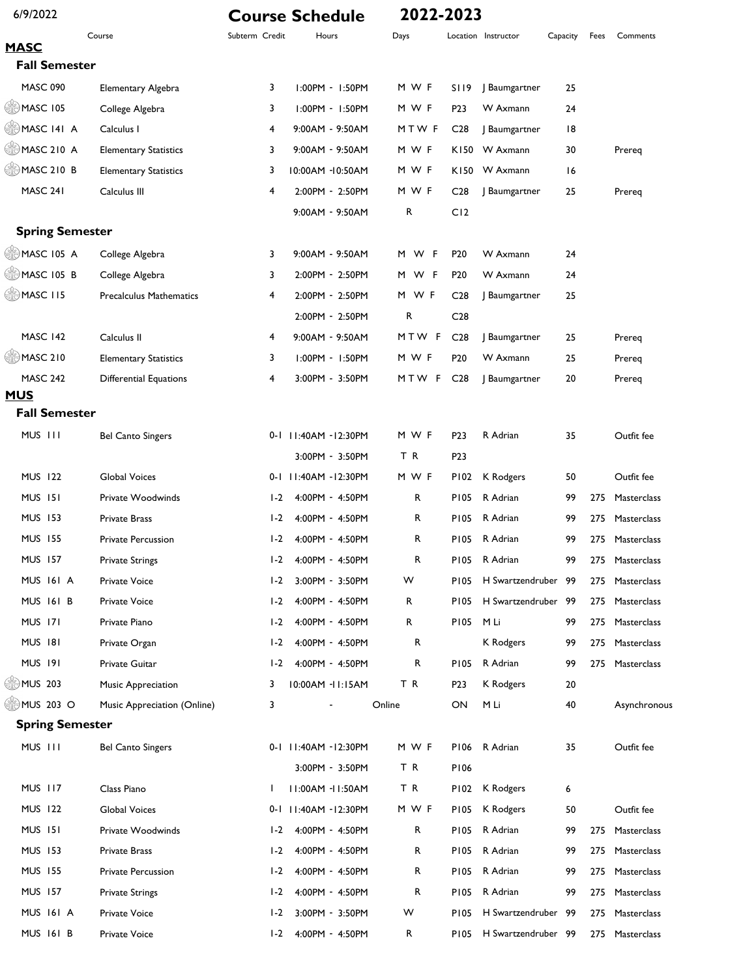| 6/9/2022                  |                                |                | <b>Course Schedule</b> | 2022-2023 |                  |                     |          |      |                 |
|---------------------------|--------------------------------|----------------|------------------------|-----------|------------------|---------------------|----------|------|-----------------|
| <b>MASC</b>               | Course                         | Subterm Credit | Hours                  | Days      |                  | Location Instructor | Capacity | Fees | Comments        |
| <b>Fall Semester</b>      |                                |                |                        |           |                  |                     |          |      |                 |
| <b>MASC 090</b>           | <b>Elementary Algebra</b>      | 3              | 1:00PM - 1:50PM        | M W F     | SI 19            | J Baumgartner       | 25       |      |                 |
| <b>OMASC 105</b>          | College Algebra                | 3              | 1:00PM - 1:50PM        | M W F     | P23              | W Axmann            | 24       |      |                 |
| MASC 141 A                | Calculus I                     | 4              | 9:00AM - 9:50AM        | MTWF      | C <sub>28</sub>  | J Baumgartner       | 18       |      |                 |
| $\circledcirc$ MASC 210 A | <b>Elementary Statistics</b>   | 3              | 9:00AM - 9:50AM        | M W F     |                  | K150 W Axmann       | 30       |      | Prereq          |
| <b>ANASC 210 B</b>        | <b>Elementary Statistics</b>   | 3              | 10:00AM -10:50AM       | M W F     |                  | K150 W Axmann       | 16       |      |                 |
| MASC 241                  | Calculus III                   | 4              | 2:00PM - 2:50PM        | M W F     | C <sub>28</sub>  | J Baumgartner       | 25       |      | Prereq          |
|                           |                                |                | 9:00AM - 9:50AM        | R         | C12              |                     |          |      |                 |
| <b>Spring Semester</b>    |                                |                |                        |           |                  |                     |          |      |                 |
| $\circledcirc$ MASC 105 A | College Algebra                | 3              | 9:00AM - 9:50AM        | M W F     | P <sub>20</sub>  | W Axmann            | 24       |      |                 |
| $\circledcirc$ MASC 105 B | College Algebra                | 3              | 2:00PM - 2:50PM        | M W F     | P <sub>20</sub>  | W Axmann            | 24       |      |                 |
| $\circledcirc$ MASC 115   | <b>Precalculus Mathematics</b> | 4              | 2:00PM - 2:50PM        | M WF      | C <sub>28</sub>  | J Baumgartner       | 25       |      |                 |
|                           |                                |                | 2:00PM - 2:50PM        | R         | C <sub>28</sub>  |                     |          |      |                 |
| MASC 142                  | Calculus II                    | 4              | 9:00AM - 9:50AM        | MTW F     | C <sub>28</sub>  | J Baumgartner       | 25       |      | Prereg          |
| $\circledcirc$ MASC 210   | <b>Elementary Statistics</b>   | 3              | 1:00PM - 1:50PM        | M W F     | P <sub>20</sub>  | W Axmann            | 25       |      | Prereq          |
| <b>MASC 242</b>           | <b>Differential Equations</b>  | 4              | 3:00PM - 3:50PM        | MTW F     | C <sub>28</sub>  | J Baumgartner       | 20       |      | Prereq          |
| <b>MUS</b>                |                                |                |                        |           |                  |                     |          |      |                 |
| <b>Fall Semester</b>      |                                |                |                        |           |                  |                     |          |      |                 |
| MUS III                   | <b>Bel Canto Singers</b>       |                | 0-1 11:40AM -12:30PM   | M W F     | P <sub>2</sub> 3 | R Adrian            | 35       |      | Outfit fee      |
|                           |                                |                | 3:00PM - 3:50PM        | TR        | P <sub>2</sub> 3 |                     |          |      |                 |
| <b>MUS 122</b>            | Global Voices                  |                | 0-1 11:40AM -12:30PM   | M W F     | P102             | K Rodgers           | 50       |      | Outfit fee      |
| <b>MUS 151</b>            | Private Woodwinds              | $1-2$          | 4:00PM - 4:50PM        | R         | <b>PI05</b>      | R Adrian            | 99       | 275  | Masterclass     |
| <b>MUS 153</b>            | <b>Private Brass</b>           | $1-2$          | 4:00PM - 4:50PM        | R         | <b>PI05</b>      | R Adrian            | 99       | 275  | Masterclass     |
| <b>MUS 155</b>            | <b>Private Percussion</b>      | $1-2$          | 4:00PM - 4:50PM        | R         | <b>PI05</b>      | R Adrian            | 99       | 275  | Masterclass     |
| <b>MUS 157</b>            | <b>Private Strings</b>         |                | I-2 4:00PM - 4:50PM    | R         |                  | P105 R Adrian       | 99       |      | 275 Masterclass |
| <b>MUS 161 A</b>          | <b>Private Voice</b>           | $1-2$          | 3:00PM - 3:50PM        | W         | <b>PI05</b>      | H Swartzendruber    | - 99     | 275  | Masterclass     |
| <b>MUS 161 B</b>          | <b>Private Voice</b>           | $1-2$          | 4:00PM - 4:50PM        | R         | <b>PI05</b>      | H Swartzendruber    | -99      | 275  | Masterclass     |
| <b>MUS 171</b>            | Private Piano                  | $1-2$          | 4:00PM - 4:50PM        | R         | P105             | M Li                | 99       | 275  | Masterclass     |
| <b>MUS 181</b>            | Private Organ                  | $1-2$          | 4:00PM - 4:50PM        | R         |                  | K Rodgers           | 99       | 275  | Masterclass     |
| <b>MUS 191</b>            | Private Guitar                 | $1-2$          | 4:00PM - 4:50PM        | R         | P105             | R Adrian            | 99       | 275  | Masterclass     |
| SHD MUS 203               | Music Appreciation             | 3              | 10:00AM -11:15AM       | TR        | P <sub>2</sub> 3 | K Rodgers           | 20       |      |                 |
| SHD MUS 203 O             | Music Appreciation (Online)    | 3              |                        | Online    | ON               | M Li                | 40       |      | Asynchronous    |
| <b>Spring Semester</b>    |                                |                |                        |           |                  |                     |          |      |                 |
| MUS III                   | <b>Bel Canto Singers</b>       |                | 0-1 11:40AM -12:30PM   | M W F     | P106             | R Adrian            | 35       |      | Outfit fee      |
|                           |                                |                | 3:00PM - 3:50PM        | T R       | P106             |                     |          |      |                 |
| <b>MUS 117</b>            | Class Piano                    | $\mathbf{L}$   | 11:00AM -11:50AM       | TR        | P102             | K Rodgers           | 6        |      |                 |
| <b>MUS 122</b>            | Global Voices                  |                | 0-1 11:40AM -12:30PM   | M W F     | P105             | K Rodgers           | 50       |      | Outfit fee      |
| <b>MUS 151</b>            | Private Woodwinds              | $1-2$          | 4:00PM - 4:50PM        | R         | P105             | R Adrian            | 99       | 275  | Masterclass     |
| <b>MUS 153</b>            | <b>Private Brass</b>           | $1-2$          | 4:00PM - 4:50PM        | R         | P105             | R Adrian            | 99       | 275  | Masterclass     |
| <b>MUS 155</b>            | <b>Private Percussion</b>      | $1-2$          | 4:00PM - 4:50PM        | R         | P105             | R Adrian            | 99       | 275  | Masterclass     |
| <b>MUS 157</b>            | <b>Private Strings</b>         | $1-2$          | 4:00PM - 4:50PM        | R         | <b>PI05</b>      | R Adrian            | 99       | 275  | Masterclass     |
| <b>MUS 161 A</b>          | Private Voice                  | $1-2$          | 3:00PM - 3:50PM        | W         | <b>PI05</b>      | H Swartzendruber    | -99      | 275  | Masterclass     |
| MUS 161 B                 | Private Voice                  | $1-2$          | 4:00PM - 4:50PM        | R         | P105             | H Swartzendruber 99 |          | 275  | Masterclass     |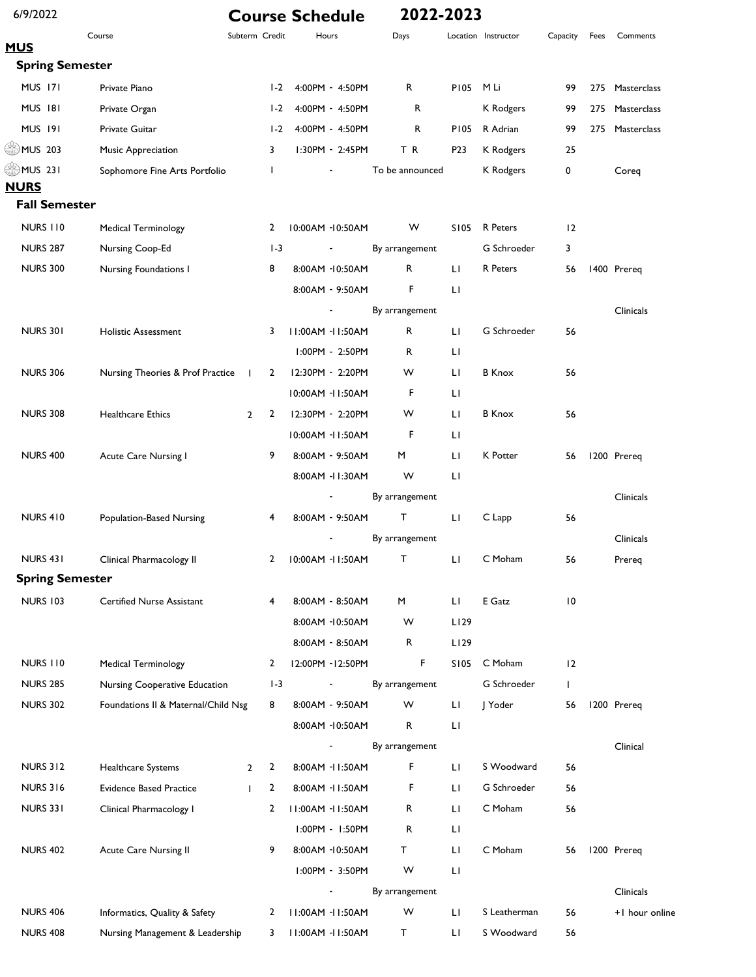| 6/9/2022                |                                     |                     | <b>Course Schedule</b> | 2022-2023       |                        |                     |          |      |                |
|-------------------------|-------------------------------------|---------------------|------------------------|-----------------|------------------------|---------------------|----------|------|----------------|
| <b>MUS</b>              | Course                              | Subterm Credit      | Hours                  | Days            |                        | Location Instructor | Capacity | Fees | Comments       |
| <b>Spring Semester</b>  |                                     |                     |                        |                 |                        |                     |          |      |                |
| <b>MUS 171</b>          | Private Piano                       | $1-2$               | 4:00PM - 4:50PM        | R               | <b>PI05</b>            | M Li                | 99       | 275  | Masterclass    |
| <b>MUS 181</b>          | Private Organ                       | $1-2$               | 4:00PM - 4:50PM        | R               |                        | K Rodgers           | 99       | 275  | Masterclass    |
| <b>MUS 191</b>          | Private Guitar                      | $1-2$               | 4:00PM - 4:50PM        | R               | P105                   | R Adrian            | 99       | 275  | Masterclass    |
| $\circled{203}$ MUS 203 | Music Appreciation                  | 3                   | I:30PM - 2:45PM        | TR              | P <sub>2</sub> 3       | K Rodgers           | 25       |      |                |
| $\circledast$ MUS 231   | Sophomore Fine Arts Portfolio       | T                   |                        | To be announced |                        | K Rodgers           | 0        |      | Coreq          |
| <b>NURS</b>             |                                     |                     |                        |                 |                        |                     |          |      |                |
| <b>Fall Semester</b>    |                                     |                     |                        |                 |                        |                     |          |      |                |
| <b>NURS 110</b>         | <b>Medical Terminology</b>          | 2                   | 10:00AM -10:50AM       | W               | S105                   | R Peters            | 12       |      |                |
| <b>NURS 287</b>         | Nursing Coop-Ed                     | $1-3$               |                        | By arrangement  |                        | G Schroeder         | 3        |      |                |
| <b>NURS 300</b>         | Nursing Foundations I               | 8                   | 8:00AM -10:50AM        | R               | Ш                      | R Peters            | 56       |      | 1400 Prereq    |
|                         |                                     |                     | 8:00AM - 9:50AM        | F               | $\mathsf{L}\mathsf{I}$ |                     |          |      |                |
|                         |                                     |                     |                        | By arrangement  |                        |                     |          |      | Clinicals      |
| <b>NURS 301</b>         | <b>Holistic Assessment</b>          | 3                   | 11:00AM -11:50AM       | R               | Ш                      | G Schroeder         | 56       |      |                |
|                         |                                     |                     | I:00PM - 2:50PM        | R               | LI                     |                     |          |      |                |
| <b>NURS 306</b>         | Nursing Theories & Prof Practice    | 2<br>$\mathbf{I}$   | I2:30PM - 2:20PM       | w               | Ш                      | <b>B</b> Knox       | 56       |      |                |
|                         |                                     |                     | 10:00AM - 11:50AM      | F               | LI                     |                     |          |      |                |
| <b>NURS 308</b>         | <b>Healthcare Ethics</b>            | 2<br>$\overline{2}$ | 12:30PM - 2:20PM       | W               | LI                     | <b>B</b> Knox       | 56       |      |                |
|                         |                                     |                     | 10:00AM - 11:50AM      | F               | LI                     |                     |          |      |                |
| <b>NURS 400</b>         | Acute Care Nursing I                | 9                   | 8:00AM - 9:50AM        | M               | Ш                      | K Potter            | 56       |      | 1200 Prereq    |
|                         |                                     |                     | 8:00AM - II:30AM       | W               | LI                     |                     |          |      |                |
|                         |                                     |                     |                        | By arrangement  |                        |                     |          |      | Clinicals      |
| <b>NURS 410</b>         | Population-Based Nursing            | 4                   | 8:00AM - 9:50AM        | т               | LI                     | C Lapp              | 56       |      |                |
|                         |                                     |                     |                        | By arrangement  |                        |                     |          |      | Clinicals      |
| NURS 431                | Clinical Pharmacology II            | 2                   | 10:00AM - 11:50AM      | T               | LI.                    | C Moham             | 56       |      | Prereq         |
| <b>Spring Semester</b>  |                                     |                     |                        |                 |                        |                     |          |      |                |
| <b>NURS 103</b>         | <b>Certified Nurse Assistant</b>    | 4                   | 8:00AM - 8:50AM        | M               | LI.                    | E Gatz              | 10       |      |                |
|                         |                                     |                     | 8:00AM -10:50AM        | W               | L129                   |                     |          |      |                |
|                         |                                     |                     | 8:00AM - 8:50AM        | ${\sf R}$       | L129                   |                     |          |      |                |
| <b>NURS 110</b>         | Medical Terminology                 | $\mathbf{2}$        | 12:00PM - 12:50PM      | F               | S105                   | C Moham             | 12       |      |                |
| <b>NURS 285</b>         | Nursing Cooperative Education       | $1-3$               | ۰                      | By arrangement  |                        | G Schroeder         | L        |      |                |
| <b>NURS 302</b>         | Foundations II & Maternal/Child Nsg | 8                   | 8:00AM - 9:50AM        | W               | LI.                    | J Yoder             | 56       |      | 1200 Prereq    |
|                         |                                     |                     | 8:00AM -10:50AM        | R               | $\mathsf{L}\mathsf{I}$ |                     |          |      |                |
|                         |                                     |                     |                        | By arrangement  |                        |                     |          |      | Clinical       |
| <b>NURS 312</b>         | Healthcare Systems                  | 2<br>$\overline{2}$ | 8:00AM - II:50AM       | F               | $\mathsf{L}$           | S Woodward          | 56       |      |                |
| <b>NURS 316</b>         | <b>Evidence Based Practice</b>      | $\mathbf{2}$<br>T   | 8:00AM -II:50AM        | F               | LI.                    | G Schroeder         | 56       |      |                |
| <b>NURS 331</b>         | Clinical Pharmacology I             | 2                   | 11:00AM -11:50AM       | R               | LI.                    | C Moham             | 56       |      |                |
|                         |                                     |                     | 1:00PM - 1:50PM        | R               | LI                     |                     |          |      |                |
| <b>NURS 402</b>         | <b>Acute Care Nursing II</b>        | 9                   | 8:00AM -10:50AM        | T.              | LI                     | C Moham             | 56       |      | 1200 Prereq    |
|                         |                                     |                     | I:00PM - 3:50PM        | W               | $\mathsf{L}\mathsf{I}$ |                     |          |      |                |
|                         |                                     |                     |                        | By arrangement  |                        |                     |          |      | Clinicals      |
| <b>NURS 406</b>         | Informatics, Quality & Safety       | 2                   | 11:00AM -11:50AM       | W               | LI                     | S Leatherman        | 56       |      | +1 hour online |
| <b>NURS 408</b>         | Nursing Management & Leadership     | 3                   | 11:00AM -11:50AM       | Τ               | LI                     | S Woodward          | 56       |      |                |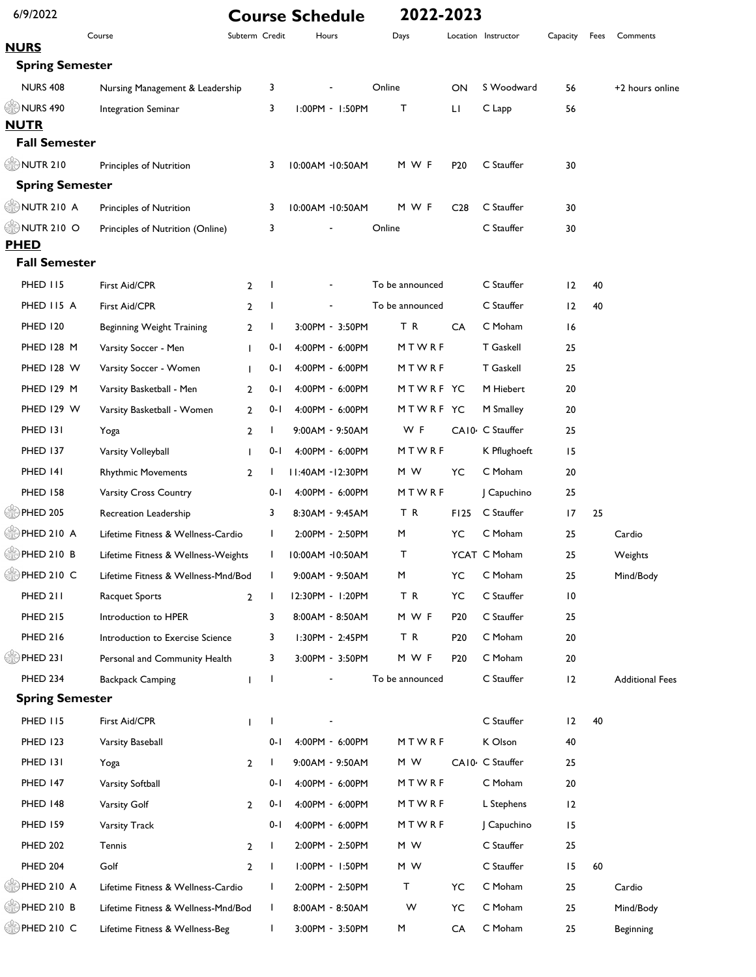| 6/9/2022                  |                                     |                |              | <b>Course Schedule</b> | 2022-2023       |                 |                     |                 |      |                        |
|---------------------------|-------------------------------------|----------------|--------------|------------------------|-----------------|-----------------|---------------------|-----------------|------|------------------------|
| <b>NURS</b>               | Course                              | Subterm Credit |              | Hours                  | Days            |                 | Location Instructor | Capacity        | Fees | Comments               |
| <b>Spring Semester</b>    |                                     |                |              |                        |                 |                 |                     |                 |      |                        |
| <b>NURS 408</b>           | Nursing Management & Leadership     |                | 3            |                        | Online          | ON              | S Woodward          | 56              |      | +2 hours online        |
| <b>ONURS 490</b>          | Integration Seminar                 |                | 3            | 1:00PM - 1:50PM        | т               | LI              | C Lapp              | 56              |      |                        |
| <b>NUTR</b>               |                                     |                |              |                        |                 |                 |                     |                 |      |                        |
| <b>Fall Semester</b>      |                                     |                |              |                        |                 |                 |                     |                 |      |                        |
| <b>ONUTR 210</b>          | Principles of Nutrition             |                | 3            | 10:00AM -10:50AM       | M W F           | P <sub>20</sub> | C Stauffer          | 30              |      |                        |
| <b>Spring Semester</b>    |                                     |                |              |                        |                 |                 |                     |                 |      |                        |
| $\mathcal{L}$ NUTR 210 A  | Principles of Nutrition             |                | 3            | 10:00AM -10:50AM       | M W F           | C <sub>28</sub> | C Stauffer          | 30              |      |                        |
| $\circledcirc$ NUTR 210 O | Principles of Nutrition (Online)    |                | 3            |                        | Online          |                 | C Stauffer          | 30              |      |                        |
| <b>PHED</b>               |                                     |                |              |                        |                 |                 |                     |                 |      |                        |
| <b>Fall Semester</b>      |                                     |                |              |                        |                 |                 |                     |                 |      |                        |
| <b>PHED 115</b>           | First Aid/CPR                       | $\overline{2}$ | -1           |                        | To be announced |                 | C Stauffer          | 12              | 40   |                        |
| PHED II5 A                | First Aid/CPR                       | $\overline{2}$ | $\mathbf{I}$ |                        | To be announced |                 | C Stauffer          | 12              | 40   |                        |
| <b>PHED 120</b>           | Beginning Weight Training           | $\overline{2}$ | -1           | 3:00PM - 3:50PM        | T R             | CA              | C Moham             | 16              |      |                        |
| <b>PHED 128 M</b>         | Varsity Soccer - Men                | $\mathbf{I}$   | $0 - 1$      | 4:00PM - 6:00PM        | MTWRF           |                 | <b>T</b> Gaskell    | 25              |      |                        |
| <b>PHED 128 W</b>         | Varsity Soccer - Women              | $\mathbf{I}$   | $0 - 1$      | 4:00PM - 6:00PM        | MTWRF           |                 | <b>T</b> Gaskell    | 25              |      |                        |
| <b>PHED 129 M</b>         | Varsity Basketball - Men            | $\overline{2}$ | $0 - 1$      | 4:00PM - 6:00PM        | MTWRF YC        |                 | M Hiebert           | 20              |      |                        |
| PHED 129 W                | Varsity Basketball - Women          | $\overline{2}$ | $0 - 1$      | 4:00PM - 6:00PM        | MTWRF YC        |                 | M Smalley           | 20              |      |                        |
| PHED 131                  | Yoga                                | $\overline{2}$ | л.           | 9:00AM - 9:50AM        | W F             |                 | CA10- C Stauffer    | 25              |      |                        |
| <b>PHED 137</b>           | Varsity Volleyball                  | L              | 0- I         | 4:00PM - 6:00PM        | MTWRF           |                 | K Pflughoeft        | 15              |      |                        |
| PHED 141                  | <b>Rhythmic Movements</b>           | $\overline{2}$ |              | II:40AM - I2:30PM      | M W             | YC              | C Moham             | 20              |      |                        |
| <b>PHED 158</b>           | Varsity Cross Country               |                | $0 - 1$      | 4:00PM - 6:00PM        | MTWRF           |                 | Capuchino           | 25              |      |                        |
| <b>SEE PHED 205</b>       | Recreation Leadership               |                | 3            | 8:30AM - 9:45AM        | TR              | F125            | C Stauffer          | 17              | 25   |                        |
| <u></u> ЭРНЕD 210 А       | Lifetime Fitness & Wellness-Cardio  |                | $\mathbf{I}$ | 2:00PM - 2:50PM        | M               | YC              | C Moham             | 25              |      | Cardio                 |
| ,<br>⊯) PHED 210 В        | Lifetime Fitness & Wellness-Weights |                | I.           | 10:00AM -10:50AM       | т               |                 | YCAT C Moham        | 25              |      | Weights                |
| PHED 210 C                | Lifetime Fitness & Wellness-Mnd/Bod |                | л.           | 9:00AM - 9:50AM        | M               | YC              | C Moham             | 25              |      | Mind/Body              |
| PHED 211                  | Racquet Sports                      | $\overline{2}$ | $\mathbf{I}$ | 12:30PM - 1:20PM       | TR              | YC              | C Stauffer          | $\overline{10}$ |      |                        |
| <b>PHED 215</b>           | Introduction to HPER                |                | 3            | 8:00AM - 8:50AM        | M W F           | P <sub>20</sub> | C Stauffer          | 25              |      |                        |
| <b>PHED 216</b>           | Introduction to Exercise Science    |                | 3            | I:30PM - 2:45PM        | ΤR              | P <sub>20</sub> | C Moham             | 20              |      |                        |
| PHED 231                  | Personal and Community Health       |                | 3            | 3:00PM - 3:50PM        | M W F           | P <sub>20</sub> | C Moham             | 20              |      |                        |
| PHED 234                  | <b>Backpack Camping</b>             | $\mathbf{I}$   | $\mathbf{I}$ |                        | To be announced |                 | C Stauffer          | 12              |      | <b>Additional Fees</b> |
| <b>Spring Semester</b>    |                                     |                |              |                        |                 |                 |                     |                 |      |                        |
| <b>PHED 115</b>           | First Aid/CPR                       | T              | $\mathbf{I}$ |                        |                 |                 | C Stauffer          | 12              | 40   |                        |
| <b>PHED 123</b>           | Varsity Baseball                    |                | $0 - 1$      | 4:00PM - 6:00PM        | MTWRF           |                 | K Olson             | 40              |      |                        |
| <b>PHED 131</b>           | Yoga                                | $\overline{2}$ | $\mathbf{I}$ | 9:00AM - 9:50AM        | M W             |                 | CA10 C Stauffer     | 25              |      |                        |
| <b>PHED 147</b>           | Varsity Softball                    |                | $0 - 1$      | 4:00PM - 6:00PM        | MTWRF           |                 | C Moham             | 20              |      |                        |
| <b>PHED 148</b>           | Varsity Golf                        | $\overline{2}$ | $0 - 1$      | 4:00PM - 6:00PM        | MTWRF           |                 | L Stephens          | 12              |      |                        |
| <b>PHED 159</b>           | Varsity Track                       |                | $0 - 1$      | 4:00PM - 6:00PM        | MTWRF           |                 | Capuchino           | 15              |      |                        |
| <b>PHED 202</b>           | Tennis                              | $\overline{2}$ | -1           | 2:00PM - 2:50PM        | M W             |                 | C Stauffer          | 25              |      |                        |
| <b>PHED 204</b>           | Golf                                | $\overline{2}$ | $\mathbf{I}$ | I:00PM - I:50PM        | M W             |                 | C Stauffer          | 15              | 60   |                        |
| $\mathbb{R}$ PHED 210 A   | Lifetime Fitness & Wellness-Cardio  |                | $\mathbf{I}$ | 2:00PM - 2:50PM        | т               | YC              | C Moham             | 25              |      | Cardio                 |
| PHED 210 B                | Lifetime Fitness & Wellness-Mnd/Bod |                | $\mathbf{I}$ | 8:00AM - 8:50AM        | W               | YC              | C Moham             | 25              |      | Mind/Body              |
| PHED 210 C                | Lifetime Fitness & Wellness-Beg     |                | I.           | 3:00PM - 3:50PM        | M               | CA              | C Moham             | 25              |      | <b>Beginning</b>       |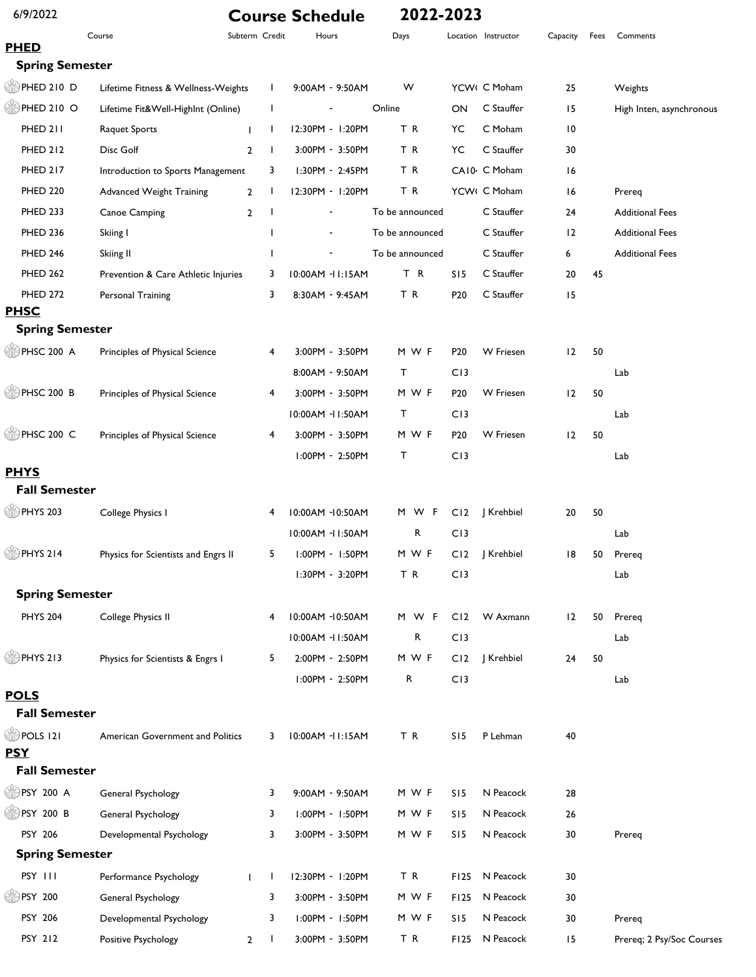| 6/9/2022               |                                     |                |                | <b>Course Schedule</b> | 2022-2023       |                                    |                           |                 |      |                           |
|------------------------|-------------------------------------|----------------|----------------|------------------------|-----------------|------------------------------------|---------------------------|-----------------|------|---------------------------|
| <b>PHED</b>            | Course                              |                | Subterm Credit | Hours                  | Days            |                                    | Location Instructor       | Capacity        | Fees | Comments                  |
| <b>Spring Semester</b> |                                     |                |                |                        |                 |                                    |                           |                 |      |                           |
| PHED 210 D             | Lifetime Fitness & Wellness-Weights |                | $\mathbf{I}$   | $9:00AM - 9:50AM$      | W               |                                    | YCW( C Moham              | 25              |      | Weights                   |
| PHED 210 O             | Lifetime Fit&Well-HighInt (Online)  |                | L              |                        | Online          | ON                                 | C Stauffer                | 15              |      | High Inten, asynchronous  |
| PHED 211               | <b>Raquet Sports</b>                |                | $\mathbf{I}$   | 12:30PM - 1:20PM       | TR              | YC                                 | C Moham                   | $\overline{10}$ |      |                           |
| <b>PHED 212</b>        | Disc Golf                           | $\overline{2}$ | $\mathbf{I}$   | 3:00PM - 3:50PM        | T R             | YC                                 | C Stauffer                | 30              |      |                           |
| <b>PHED 217</b>        | Introduction to Sports Management   |                | 3              | $1:30PM - 2:45PM$      | TR              |                                    | CA10 <sup>2</sup> C Moham | 16              |      |                           |
| <b>PHED 220</b>        | <b>Advanced Weight Training</b>     | 2              | $\mathbf{I}$   | 12:30PM - 1:20PM       | TR              |                                    | YCW( C Moham              | 16              |      | Prereq                    |
| <b>PHED 233</b>        | Canoe Camping                       | $\overline{2}$ |                |                        | To be announced |                                    | C Stauffer                | 24              |      | <b>Additional Fees</b>    |
| <b>PHED 236</b>        | Skiing I                            |                | ı              |                        | To be announced |                                    | C Stauffer                | 12              |      | <b>Additional Fees</b>    |
| <b>PHED 246</b>        | Skiing II                           |                | 1              |                        | To be announced |                                    | C Stauffer                | 6               |      | <b>Additional Fees</b>    |
| <b>PHED 262</b>        |                                     |                |                |                        | T R             |                                    | C Stauffer                |                 | 45   |                           |
| <b>PHED 272</b>        | Prevention & Care Athletic Injuries |                | 3<br>3         | 10:00AM -11:15AM       | TR              | SI <sub>5</sub><br>P <sub>20</sub> | C Stauffer                | 20<br>15        |      |                           |
| <b>PHSC</b>            | Personal Training                   |                |                | 8:30AM - 9:45AM        |                 |                                    |                           |                 |      |                           |
| <b>Spring Semester</b> |                                     |                |                |                        |                 |                                    |                           |                 |      |                           |
| PHSC 200 A             | Principles of Physical Science      |                | 4              | 3:00PM - 3:50PM        | M W F           | P <sub>20</sub>                    | <b>W</b> Friesen          | 12              | 50   |                           |
|                        |                                     |                |                | 8:00AM - 9:50AM        | Т               | C13                                |                           |                 |      | Lab                       |
| PHSC 200 B             | Principles of Physical Science      |                | 4              | 3:00PM - 3:50PM        | M W F           | P <sub>20</sub>                    | W Friesen                 | 12              | 50   |                           |
|                        |                                     |                |                | 10:00AM - 1:50AM       | Т               | C13                                |                           |                 |      | Lab                       |
| PHSC 200 C             | Principles of Physical Science      |                | 4              | 3:00PM - 3:50PM        | M W F           | P <sub>20</sub>                    | W Friesen                 | 12              | 50   |                           |
|                        |                                     |                |                | I:00PM - 2:50PM        | т               | C13                                |                           |                 |      | Lab                       |
| <b>PHYS</b>            |                                     |                |                |                        |                 |                                    |                           |                 |      |                           |
| <b>Fall Semester</b>   |                                     |                |                |                        |                 |                                    |                           |                 |      |                           |
| <b>DPHYS 203</b>       | College Physics I                   |                | 4              | 10:00AM -10:50AM       | M W F           | C12                                | J Krehbiel                | 20              | 50   |                           |
|                        |                                     |                |                | 10:00AM -11:50AM       | R               | C13                                |                           |                 |      | Lab                       |
| <b>OPHYS 214</b>       | Physics for Scientists and Engrs II |                | 5              | $1:00PM - 1:50PM$      | M W F           | C12                                | J Krehbiel                | 18              | 50   | Prereq                    |
|                        |                                     |                |                | I:30PM - 3:20PM        | TR              | C13                                |                           |                 |      | Lab                       |
| <b>Spring Semester</b> |                                     |                |                |                        |                 |                                    |                           |                 |      |                           |
| <b>PHYS 204</b>        | College Physics II                  |                | 4              | 10:00AM -10:50AM       | M W F           | CI2                                | W Axmann                  | 12              | 50   | Prereq                    |
|                        |                                     |                |                | 10:00AM - II:50AM      | R               | C13                                |                           |                 |      | Lab                       |
| <b>OPHYS 213</b>       | Physics for Scientists & Engrs I    |                | 5              | 2:00PM - 2:50PM        | M W F           | C12                                | J Krehbiel                | 24              | 50   |                           |
|                        |                                     |                |                | I:00PM - 2:50PM        | R               | C13                                |                           |                 |      | Lab                       |
| <b>POLS</b>            |                                     |                |                |                        |                 |                                    |                           |                 |      |                           |
| <b>Fall Semester</b>   |                                     |                |                |                        |                 |                                    |                           |                 |      |                           |
| <b>OD</b> POLS 121     | American Government and Politics    |                | 3              | 10:00AM - II:15AM      | TR              | SI <sub>5</sub>                    | P Lehman                  | 40              |      |                           |
| <b>PSY</b>             |                                     |                |                |                        |                 |                                    |                           |                 |      |                           |
| <b>Fall Semester</b>   |                                     |                |                |                        |                 |                                    |                           |                 |      |                           |
| <b>●PSY 200 A</b>      | General Psychology                  |                | 3              | 9:00AM - 9:50AM        | M W F           | SI <sub>5</sub>                    | N Peacock                 | 28              |      |                           |
| SHPSY 200 B            | General Psychology                  |                | 3              | 1:00PM - 1:50PM        | M W F           | SI <sub>5</sub>                    | N Peacock                 | 26              |      |                           |
| PSY 206                | Developmental Psychology            |                | 3              | 3:00PM - 3:50PM        | M W F           | S15                                | N Peacock                 | 30              |      | Prereq                    |
| <b>Spring Semester</b> |                                     |                |                |                        |                 |                                    |                           |                 |      |                           |
| PSY III                | Performance Psychology              |                | Τ.             | 12:30PM - 1:20PM       | T R             | F125                               | N Peacock                 | 30              |      |                           |
| ( PSY 200              | General Psychology                  |                | 3              | 3:00PM - 3:50PM        | M W F           | F125                               | N Peacock                 | 30              |      |                           |
| PSY 206                | Developmental Psychology            |                | 3              | I:00PM - I:50PM        | M W F           | S15                                | N Peacock                 | 30              |      | Prereq                    |
| PSY 212                | Positive Psychology                 | $\mathbf{2}$   | Т.             | 3:00PM - 3:50PM        | TR              | F125                               | N Peacock                 | 15              |      | Prereq; 2 Psy/Soc Courses |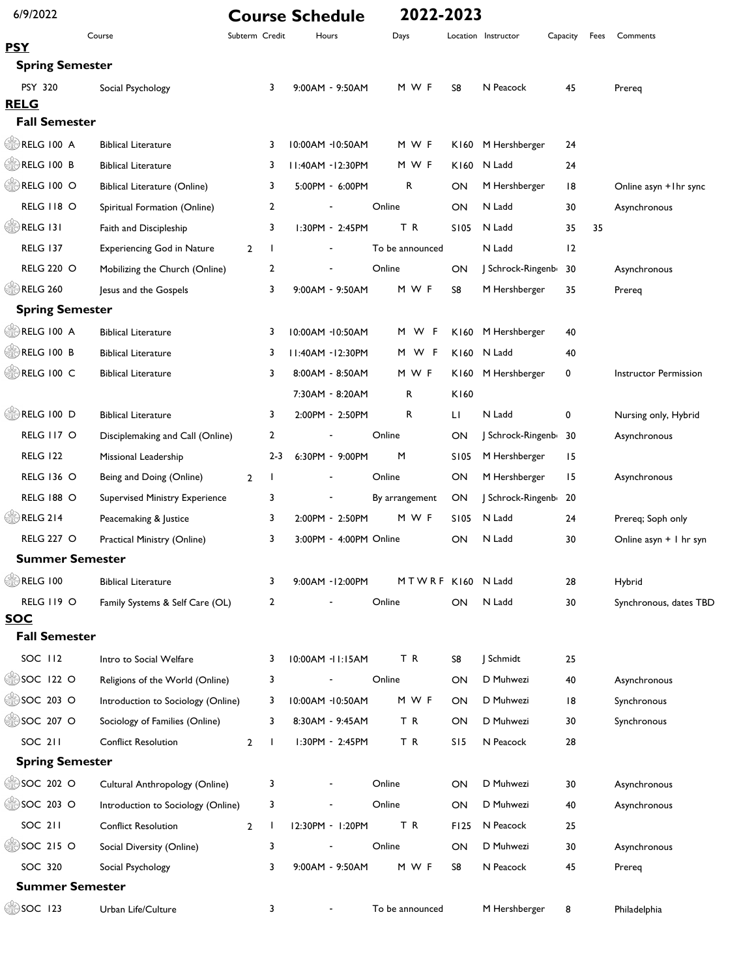| 6/9/2022                 |                                       |                |                | <b>Course Schedule</b> | 2022-2023       |             |                     |          |      |                          |
|--------------------------|---------------------------------------|----------------|----------------|------------------------|-----------------|-------------|---------------------|----------|------|--------------------------|
| <b>PSY</b>               | Course                                | Subterm Credit |                | Hours                  | Days            |             | Location Instructor | Capacity | Fees | Comments                 |
| <b>Spring Semester</b>   |                                       |                |                |                        |                 |             |                     |          |      |                          |
| <b>PSY 320</b>           | Social Psychology                     |                | 3              | 9:00AM - 9:50AM        | M W F           | S8          | N Peacock           | 45       |      | Prereg                   |
| <b>RELG</b>              |                                       |                |                |                        |                 |             |                     |          |      |                          |
| <b>Fall Semester</b>     |                                       |                |                |                        |                 |             |                     |          |      |                          |
| RELG 100 A               | <b>Biblical Literature</b>            |                | 3              | 10:00AM -10:50AM       | M W F           | K160        | M Hershberger       | 24       |      |                          |
| RELG 100 B               | <b>Biblical Literature</b>            |                | 3              | II:40AM - I2:30PM      | M W F           | K160        | N Ladd              | 24       |      |                          |
| RELG 100 O               | <b>Biblical Literature (Online)</b>   |                | 3              | 5:00PM - 6:00PM        | R               | ON          | M Hershberger       | 8        |      | Online asyn +1hr sync    |
| <b>RELG 118 O</b>        | Spiritual Formation (Online)          |                | $\overline{2}$ |                        | Online          | ON          | N Ladd              | 30       |      | Asynchronous             |
| RELG 131                 | Faith and Discipleship                |                | 3              | 1:30PM - 2:45PM        | TR              | <b>SI05</b> | N Ladd              | 35       | 35   |                          |
| <b>RELG 137</b>          | <b>Experiencing God in Nature</b>     | $\overline{2}$ | $\mathbf{I}$   |                        | To be announced |             | N Ladd              | 12       |      |                          |
| <b>RELG 220 O</b>        | Mobilizing the Church (Online)        |                | $\overline{2}$ |                        | Online          | ON          | Schrock-Ringenb     | 30       |      | Asynchronous             |
| <b>RELG 260</b>          | Jesus and the Gospels                 |                | 3              | 9:00AM - 9:50AM        | M W F           | S8          | M Hershberger       | 35       |      | Prereg                   |
| <b>Spring Semester</b>   |                                       |                |                |                        |                 |             |                     |          |      |                          |
| RELG 100 A               | <b>Biblical Literature</b>            |                | 3              | 10:00AM -10:50AM       | M W F           | K160        | M Hershberger       | 40       |      |                          |
| RELG 100 B               | <b>Biblical Literature</b>            |                | 3              | II:40AM - I2:30PM      | M W F           | K160        | N Ladd              | 40       |      |                          |
| RELG 100 C               | <b>Biblical Literature</b>            |                | 3              | 8:00AM - 8:50AM        | M W F           | K160        | M Hershberger       | 0        |      | Instructor Permission    |
|                          |                                       |                |                | 7:30AM - 8:20AM        | R               | K160        |                     |          |      |                          |
| RELG 100 D               | <b>Biblical Literature</b>            |                | 3              | 2:00PM - 2:50PM        | R               | LI          | N Ladd              | 0        |      | Nursing only, Hybrid     |
| RELG 117 O               | Disciplemaking and Call (Online)      |                | $\overline{2}$ |                        | Online          | ON          | Schrock-Ringenb 30  |          |      | Asynchronous             |
| <b>RELG 122</b>          | Missional Leadership                  |                | $2 - 3$        | 6:30PM - 9:00PM        | M               | <b>SI05</b> | M Hershberger       | 15       |      |                          |
| <b>RELG 136 O</b>        | Being and Doing (Online)              | $\overline{2}$ | Τ.             |                        | Online          | ON          | M Hershberger       | 15       |      | Asynchronous             |
| <b>RELG 188 O</b>        | <b>Supervised Ministry Experience</b> |                | 3              |                        | By arrangement  | ON          | Schrock-Ringenb 20  |          |      |                          |
| <b>RELG 214</b>          | Peacemaking & Justice                 |                | 3              | 2:00PM - 2:50PM        | M W F           | S105        | N Ladd              | 24       |      | Prereq; Soph only        |
| <b>RELG 227 O</b>        | Practical Ministry (Online)           |                | 3              | 3:00PM - 4:00PM Online |                 | ON          | N Ladd              | 30       |      | Online asyn $+$ I hr syn |
| <b>Summer Semester</b>   |                                       |                |                |                        |                 |             |                     |          |      |                          |
| <b>DRELG 100</b>         | <b>Biblical Literature</b>            |                | 3              | 9:00AM - I2:00PM       | MTWRF K160      |             | N Ladd              | 28       |      | Hybrid                   |
| RELG II9 O               | Family Systems & Self Care (OL)       |                | $\overline{2}$ |                        | Online          | ON          | N Ladd              | 30       |      | Synchronous, dates TBD   |
| <b>SOC</b>               |                                       |                |                |                        |                 |             |                     |          |      |                          |
| <b>Fall Semester</b>     |                                       |                |                |                        |                 |             |                     |          |      |                          |
| SOC 112                  | Intro to Social Welfare               |                | 3              | 10:00AM -11:15AM       | T R             | S8          | J Schmidt           | 25       |      |                          |
| $\circ$ SOC 122 O        | Religions of the World (Online)       |                | 3              |                        | Online          | ON          | D Muhwezi           | 40       |      | Asynchronous             |
| $\circ$ SOC 203 O        | Introduction to Sociology (Online)    |                | 3              | 10:00AM -10:50AM       | M W F           | ON          | D Muhwezi           | 8        |      | Synchronous              |
| <b>SOC 207 O</b>         | Sociology of Families (Online)        |                | 3              | 8:30AM - 9:45AM        | TR              | ON          | D Muhwezi           | 30       |      | Synchronous              |
| <b>SOC 211</b>           | <b>Conflict Resolution</b>            | $\mathbf{2}$   | $\mathbf{I}$   | I:30PM - 2:45PM        | TR              | S15         | N Peacock           | 28       |      |                          |
| <b>Spring Semester</b>   |                                       |                |                |                        |                 |             |                     |          |      |                          |
| SOC 202 O                | Cultural Anthropology (Online)        |                | 3              |                        | Online          | ON          | D Muhwezi           | 30       |      | Asynchronous             |
| $\circledcirc$ SOC 203 O | Introduction to Sociology (Online)    |                | 3              | ٠                      | Online          | ON          | D Muhwezi           | 40       |      | Asynchronous             |
| <b>SOC 211</b>           | <b>Conflict Resolution</b>            | $\overline{2}$ | Τ.             | 12:30PM - 1:20PM       | TR              | F125        | N Peacock           | 25       |      |                          |
| $\circ$ SOC 215 O        | Social Diversity (Online)             |                | 3              |                        | Online          | ON          | D Muhwezi           | 30       |      | Asynchronous             |
| SOC 320                  | Social Psychology                     |                | 3              | 9:00AM - 9:50AM        | M W F           | S8          | N Peacock           | 45       |      | Prereq                   |
| <b>Summer Semester</b>   |                                       |                |                |                        |                 |             |                     |          |      |                          |
| SOC 123                  | Urban Life/Culture                    |                | 3              |                        | To be announced |             | M Hershberger       | 8        |      | Philadelphia             |